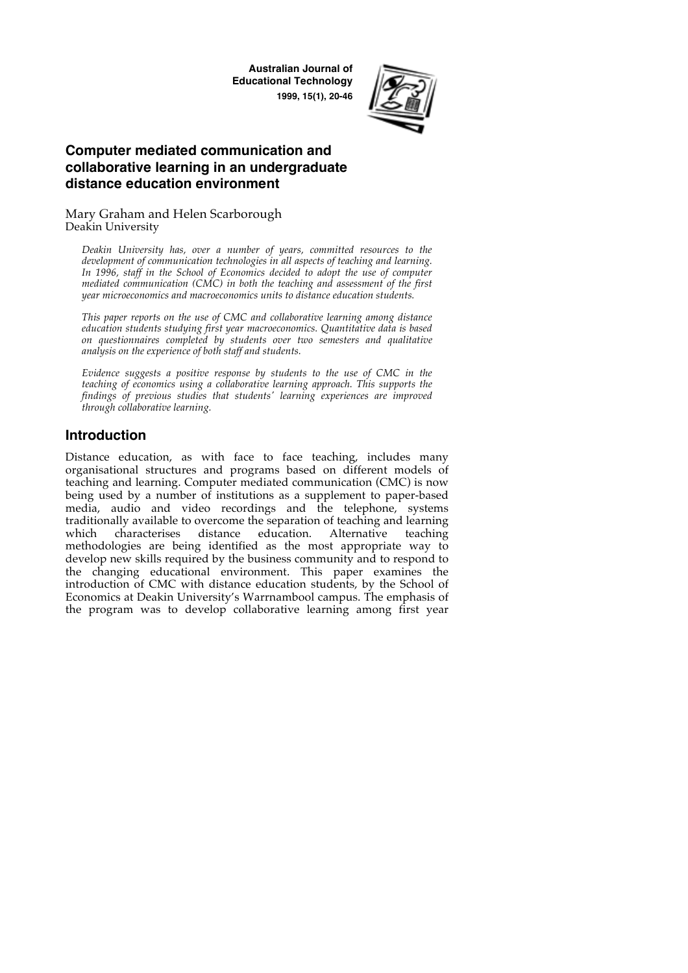**Australian Journal of Educational Technology 1999, 15(1), 20-46**



# **Computer mediated communication and collaborative learning in an undergraduate distance education environment**

Mary Graham and Helen Scarborough Deakin University

*Deakin University has, over a number of years, committed resources to the development of communication technologies in all aspects of teaching and learning.*  In 1996, staff in the School of Economics decided to adopt the use of computer *mediated communication (CMC) in both the teaching and assessment of the first year microeconomics and macroeconomics units to distance education students.*

*This paper reports on the use of CMC and collaborative learning among distance education students studying first year macroeconomics. Quantitative data is based on questionnaires completed by students over two semesters and qualitative analysis on the experience of both staff and students.*

*Evidence suggests a positive response by students to the use of CMC in the teaching of economics using a collaborative learning approach. This supports the findings of previous studies that students' learning experiences are improved through collaborative learning.*

# **Introduction**

Distance education, as with face to face teaching, includes many organisational structures and programs based on different models of teaching and learning. Computer mediated communication (CMC) is now being used by a number of institutions as a supplement to paper-based media, audio and video recordings and the telephone, systems traditionally available to overcome the separation of teaching and learning which characterises distance education. Alternative teaching methodologies are being identified as the most appropriate way to develop new skills required by the business community and to respond to the changing educational environment. This paper examines the introduction of CMC with distance education students, by the School of Economics at Deakin University's Warrnambool campus. The emphasis of the program was to develop collaborative learning among first year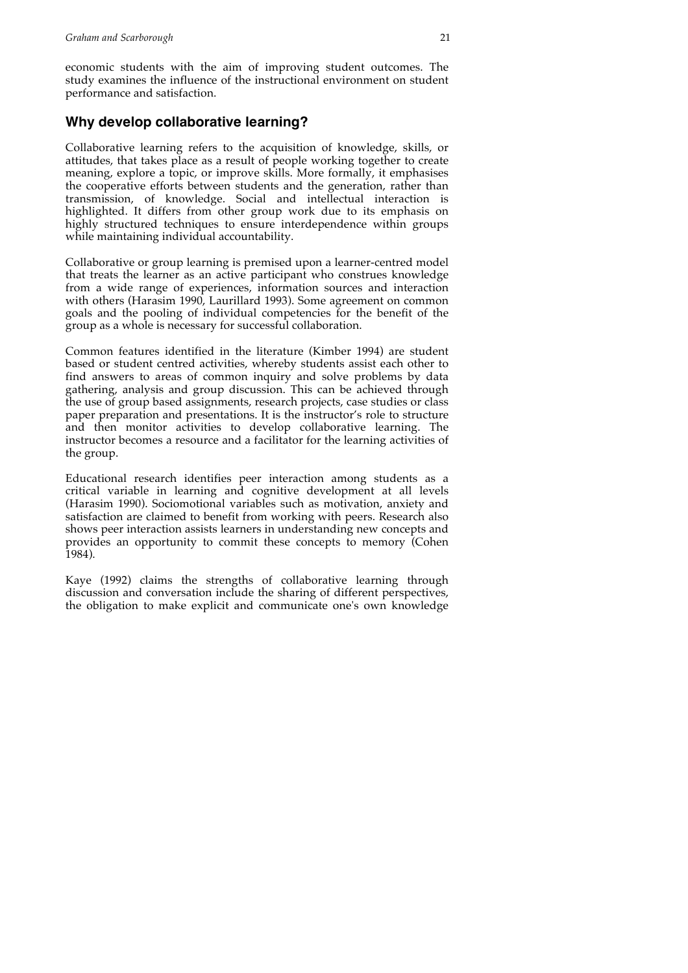economic students with the aim of improving student outcomes. The study examines the influence of the instructional environment on student performance and satisfaction.

# **Why develop collaborative learning?**

Collaborative learning refers to the acquisition of knowledge, skills, or attitudes, that takes place as a result of people working together to create meaning, explore a topic, or improve skills. More formally, it emphasises the cooperative efforts between students and the generation, rather than transmission, of knowledge. Social and intellectual interaction is highlighted. It differs from other group work due to its emphasis on highly structured techniques to ensure interdependence within groups while maintaining individual accountability.

Collaborative or group learning is premised upon a learner-centred model that treats the learner as an active participant who construes knowledge from a wide range of experiences, information sources and interaction with others (Harasim 1990, Laurillard 1993). Some agreement on common goals and the pooling of individual competencies for the benefit of the group as a whole is necessary for successful collaboration.

Common features identified in the literature (Kimber 1994) are student based or student centred activities, whereby students assist each other to find answers to areas of common inquiry and solve problems by data gathering, analysis and group discussion. This can be achieved through the use of group based assignments, research projects, case studies or class paper preparation and presentations. It is the instructor's role to structure and then monitor activities to develop collaborative learning. The instructor becomes a resource and a facilitator for the learning activities of the group.

Educational research identifies peer interaction among students as a critical variable in learning and cognitive development at all levels (Harasim 1990). Sociomotional variables such as motivation, anxiety and satisfaction are claimed to benefit from working with peers. Research also shows peer interaction assists learners in understanding new concepts and provides an opportunity to commit these concepts to memory (Cohen 1984).

Kaye (1992) claims the strengths of collaborative learning through discussion and conversation include the sharing of different perspectives, the obligation to make explicit and communicate one's own knowledge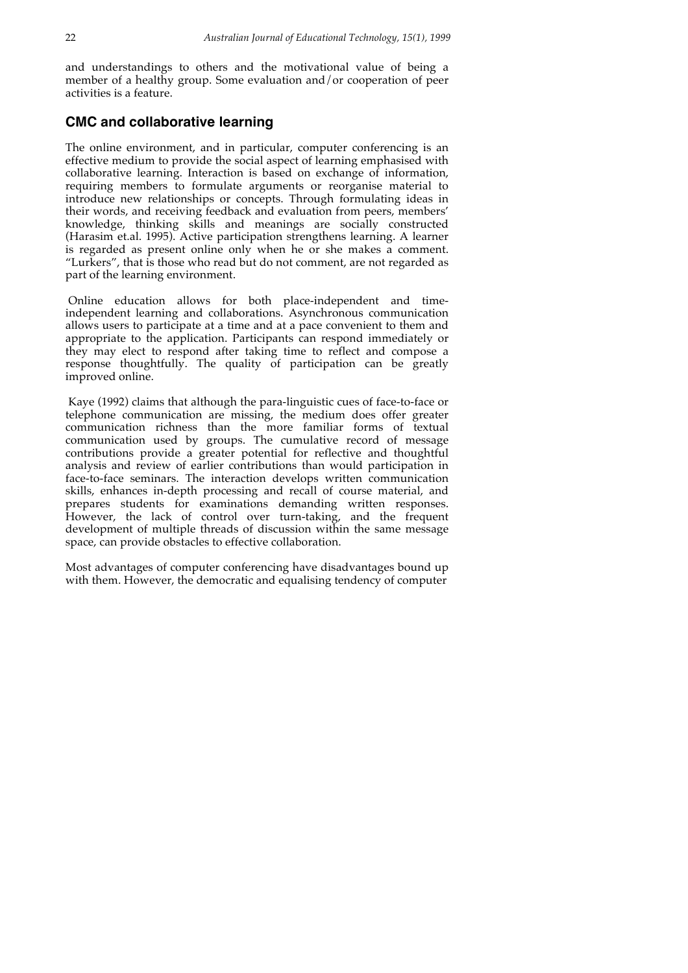and understandings to others and the motivational value of being a member of a healthy group. Some evaluation and/or cooperation of peer activities is a feature.

### **CMC and collaborative learning**

The online environment, and in particular, computer conferencing is an effective medium to provide the social aspect of learning emphasised with collaborative learning. Interaction is based on exchange of information, requiring members to formulate arguments or reorganise material to introduce new relationships or concepts. Through formulating ideas in their words, and receiving feedback and evaluation from peers, members' knowledge, thinking skills and meanings are socially constructed (Harasim et.al. 1995). Active participation strengthens learning. A learner is regarded as present online only when he or she makes a comment. "Lurkers", that is those who read but do not comment, are not regarded as part of the learning environment.

Online education allows for both place-independent and timeindependent learning and collaborations. Asynchronous communication allows users to participate at a time and at a pace convenient to them and appropriate to the application. Participants can respond immediately or they may elect to respond after taking time to reflect and compose a response thoughtfully. The quality of participation can be greatly improved online.

Kaye (1992) claims that although the para-linguistic cues of face-to-face or telephone communication are missing, the medium does offer greater communication richness than the more familiar forms of textual communication used by groups. The cumulative record of message contributions provide a greater potential for reflective and thoughtful analysis and review of earlier contributions than would participation in face-to-face seminars. The interaction develops written communication skills, enhances in-depth processing and recall of course material, and prepares students for examinations demanding written responses. However, the lack of control over turn-taking, and the frequent development of multiple threads of discussion within the same message space, can provide obstacles to effective collaboration.

Most advantages of computer conferencing have disadvantages bound up with them. However, the democratic and equalising tendency of computer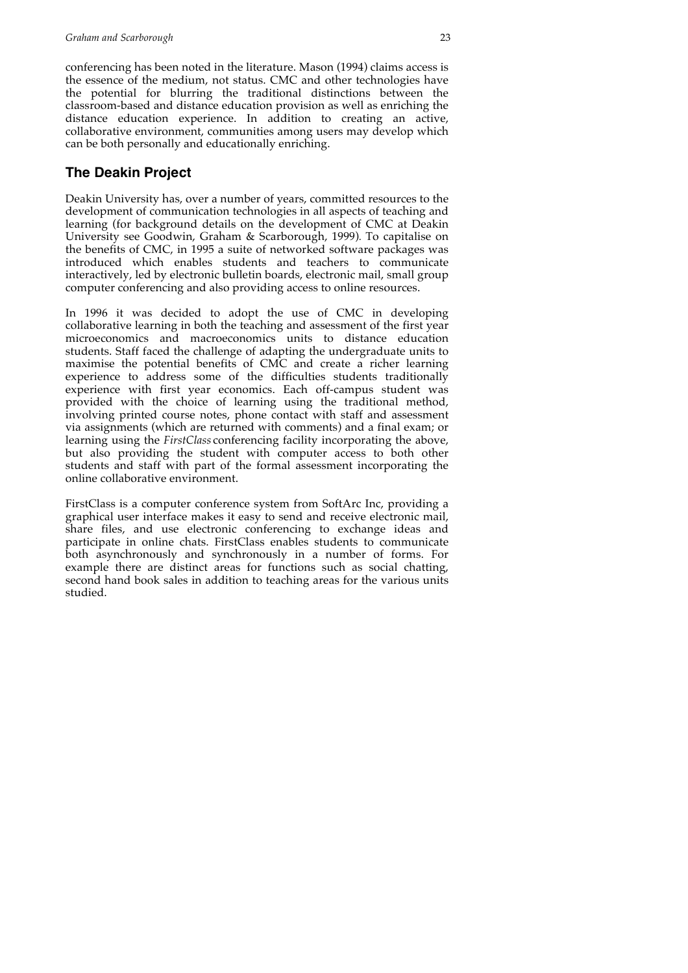conferencing has been noted in the literature. Mason (1994) claims access is the essence of the medium, not status. CMC and other technologies have the potential for blurring the traditional distinctions between the classroom-based and distance education provision as well as enriching the distance education experience. In addition to creating an active, collaborative environment, communities among users may develop which can be both personally and educationally enriching.

# **The Deakin Project**

Deakin University has, over a number of years, committed resources to the development of communication technologies in all aspects of teaching and learning (for background details on the development of CMC at Deakin University see Goodwin, Graham & Scarborough, 1999). To capitalise on the benefits of CMC, in 1995 a suite of networked software packages was introduced which enables students and teachers to communicate interactively, led by electronic bulletin boards, electronic mail, small group computer conferencing and also providing access to online resources.

In 1996 it was decided to adopt the use of CMC in developing collaborative learning in both the teaching and assessment of the first year microeconomics and macroeconomics units to distance education students. Staff faced the challenge of adapting the undergraduate units to maximise the potential benefits of CMC and create a richer learning experience to address some of the difficulties students traditionally experience with first year economics. Each off-campus student was provided with the choice of learning using the traditional method, involving printed course notes, phone contact with staff and assessment via assignments (which are returned with comments) and a final exam; or learning using the *FirstClass* conferencing facility incorporating the above, but also providing the student with computer access to both other students and staff with part of the formal assessment incorporating the online collaborative environment.

FirstClass is a computer conference system from SoftArc Inc, providing a graphical user interface makes it easy to send and receive electronic mail, share files, and use electronic conferencing to exchange ideas and participate in online chats. FirstClass enables students to communicate both asynchronously and synchronously in a number of forms. For example there are distinct areas for functions such as social chatting, second hand book sales in addition to teaching areas for the various units studied.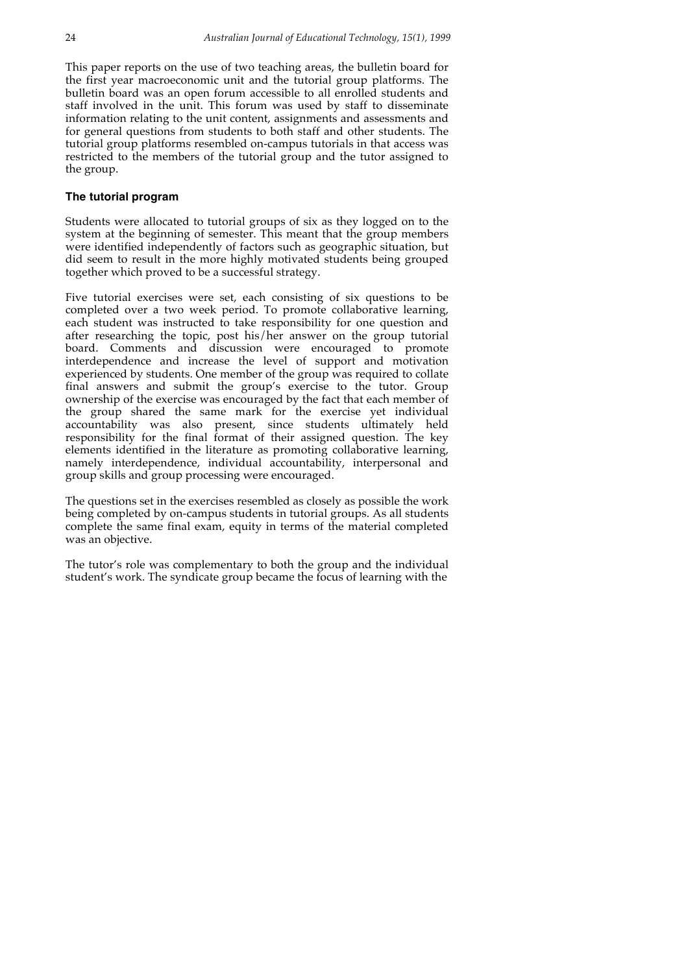This paper reports on the use of two teaching areas, the bulletin board for the first year macroeconomic unit and the tutorial group platforms. The bulletin board was an open forum accessible to all enrolled students and staff involved in the unit. This forum was used by staff to disseminate information relating to the unit content, assignments and assessments and for general questions from students to both staff and other students. The tutorial group platforms resembled on-campus tutorials in that access was restricted to the members of the tutorial group and the tutor assigned to the group.

### **The tutorial program**

Students were allocated to tutorial groups of six as they logged on to the system at the beginning of semester. This meant that the group members were identified independently of factors such as geographic situation, but did seem to result in the more highly motivated students being grouped together which proved to be a successful strategy.

Five tutorial exercises were set, each consisting of six questions to be completed over a two week period. To promote collaborative learning, each student was instructed to take responsibility for one question and after researching the topic, post his/her answer on the group tutorial board. Comments and discussion were encouraged to promote interdependence and increase the level of support and motivation experienced by students. One member of the group was required to collate final answers and submit the group's exercise to the tutor. Group ownership of the exercise was encouraged by the fact that each member of the group shared the same mark for the exercise yet individual accountability was also present, since students ultimately held responsibility for the final format of their assigned question. The key elements identified in the literature as promoting collaborative learning, namely interdependence, individual accountability, interpersonal and group skills and group processing were encouraged.

The questions set in the exercises resembled as closely as possible the work being completed by on-campus students in tutorial groups. As all students complete the same final exam, equity in terms of the material completed was an objective.

The tutor's role was complementary to both the group and the individual student's work. The syndicate group became the focus of learning with the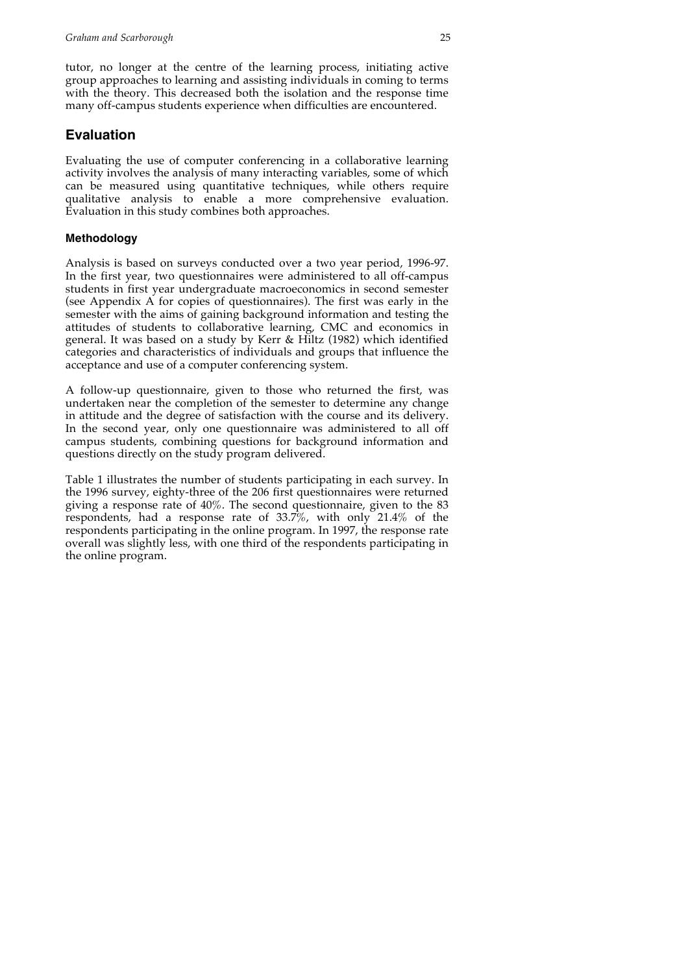tutor, no longer at the centre of the learning process, initiating active group approaches to learning and assisting individuals in coming to terms with the theory. This decreased both the isolation and the response time many off-campus students experience when difficulties are encountered.

### **Evaluation**

Evaluating the use of computer conferencing in a collaborative learning activity involves the analysis of many interacting variables, some of which can be measured using quantitative techniques, while others require qualitative analysis to enable a more comprehensive evaluation. Evaluation in this study combines both approaches.

### **Methodology**

Analysis is based on surveys conducted over a two year period, 1996-97. In the first year, two questionnaires were administered to all off-campus students in first year undergraduate macroeconomics in second semester (see Appendix A for copies of questionnaires). The first was early in the semester with the aims of gaining background information and testing the attitudes of students to collaborative learning, CMC and economics in general. It was based on a study by Kerr & Hiltz (1982) which identified categories and characteristics of individuals and groups that influence the acceptance and use of a computer conferencing system.

A follow-up questionnaire, given to those who returned the first, was undertaken near the completion of the semester to determine any change in attitude and the degree of satisfaction with the course and its delivery. In the second year, only one questionnaire was administered to all off campus students, combining questions for background information and questions directly on the study program delivered.

Table 1 illustrates the number of students participating in each survey. In the 1996 survey, eighty-three of the 206 first questionnaires were returned giving a response rate of 40%. The second questionnaire, given to the 83 respondents, had a response rate of 33.7%, with only 21.4% of the respondents participating in the online program. In 1997, the response rate overall was slightly less, with one third of the respondents participating in the online program.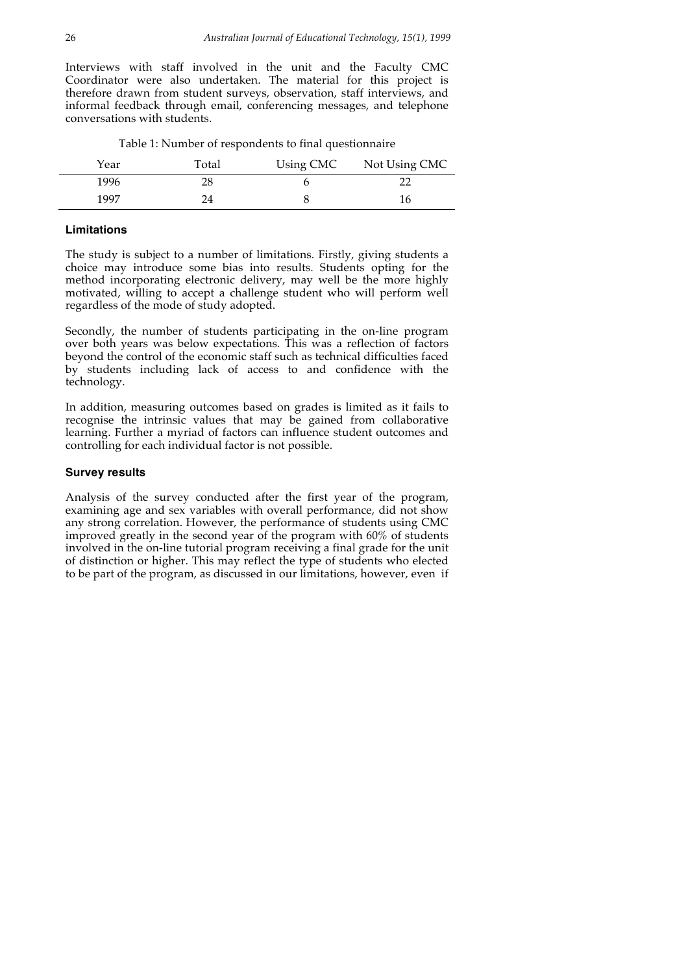Interviews with staff involved in the unit and the Faculty CMC Coordinator were also undertaken. The material for this project is therefore drawn from student surveys, observation, staff interviews, and informal feedback through email, conferencing messages, and telephone conversations with students.

| Table 1: Number of respondents to final questionnaire |  |  |  |  |  |  |  |  |
|-------------------------------------------------------|--|--|--|--|--|--|--|--|
|-------------------------------------------------------|--|--|--|--|--|--|--|--|

| Year | Total | Using CMC | Not Using CMC |
|------|-------|-----------|---------------|
| 1996 | 28    |           |               |
| 1997 | 74    |           | 16            |

#### **Limitations**

The study is subject to a number of limitations. Firstly, giving students a choice may introduce some bias into results. Students opting for the method incorporating electronic delivery, may well be the more highly motivated, willing to accept a challenge student who will perform well regardless of the mode of study adopted.

Secondly, the number of students participating in the on-line program over both years was below expectations. This was a reflection of factors beyond the control of the economic staff such as technical difficulties faced by students including lack of access to and confidence with the technology.

In addition, measuring outcomes based on grades is limited as it fails to recognise the intrinsic values that may be gained from collaborative learning. Further a myriad of factors can influence student outcomes and controlling for each individual factor is not possible.

#### **Survey results**

Analysis of the survey conducted after the first year of the program, examining age and sex variables with overall performance, did not show any strong correlation. However, the performance of students using CMC improved greatly in the second year of the program with 60% of students involved in the on-line tutorial program receiving a final grade for the unit of distinction or higher. This may reflect the type of students who elected to be part of the program, as discussed in our limitations, however, even if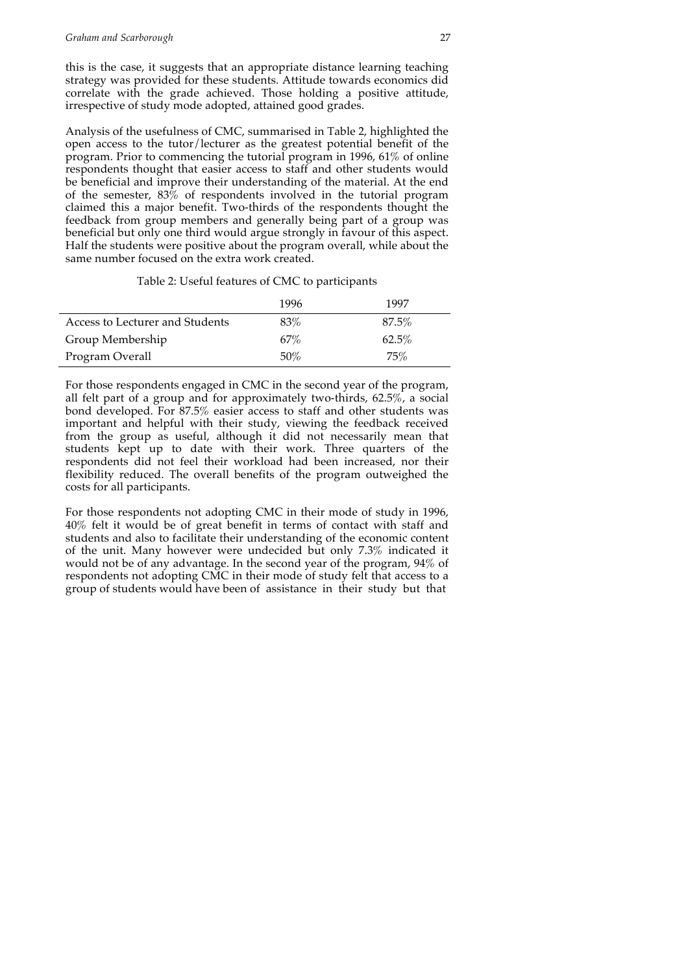this is the case, it suggests that an appropriate distance learning teaching strategy was provided for these students. Attitude towards economics did correlate with the grade achieved. Those holding a positive attitude, irrespective of study mode adopted, attained good grades.

Analysis of the usefulness of CMC, summarised in Table 2, highlighted the open access to the tutor/lecturer as the greatest potential benefit of the program. Prior to commencing the tutorial program in 1996, 61% of online respondents thought that easier access to staff and other students would be beneficial and improve their understanding of the material. At the end of the semester,  $83\%$  of respondents involved in the tutorial program claimed this a major benefit. Two-thirds of the respondents thought the feedback from group members and generally being part of a group was beneficial but only one third would argue strongly in favour of this aspect. Half the students were positive about the program overall, while about the same number focused on the extra work created.

|                                 | 1996 | 1997     |
|---------------------------------|------|----------|
| Access to Lecturer and Students | 83%  | $87.5\%$ |
| Group Membership                | 67%  | 62.5%    |
| Program Overall                 | 50%  | 75%      |

For those respondents engaged in CMC in the second year of the program, all felt part of a group and for approximately two-thirds,  $62.5\%$ , a social bond developed. For 87.5% easier access to staff and other students was important and helpful with their study, viewing the feedback received from the group as useful, although it did not necessarily mean that students kept up to date with their work. Three quarters of the respondents did not feel their workload had been increased, nor their flexibility reduced. The overall benefits of the program outweighed the costs for all participants.

For those respondents not adopting CMC in their mode of study in 1996, 40% felt it would be of great benefit in terms of contact with staff and students and also to facilitate their understanding of the economic content of the unit. Many however were undecided but only 7.3% indicated it would not be of any advantage. In the second year of the program, 94% of respondents not adopting CMC in their mode of study felt that access to a group of students would have been of assistance in their study but that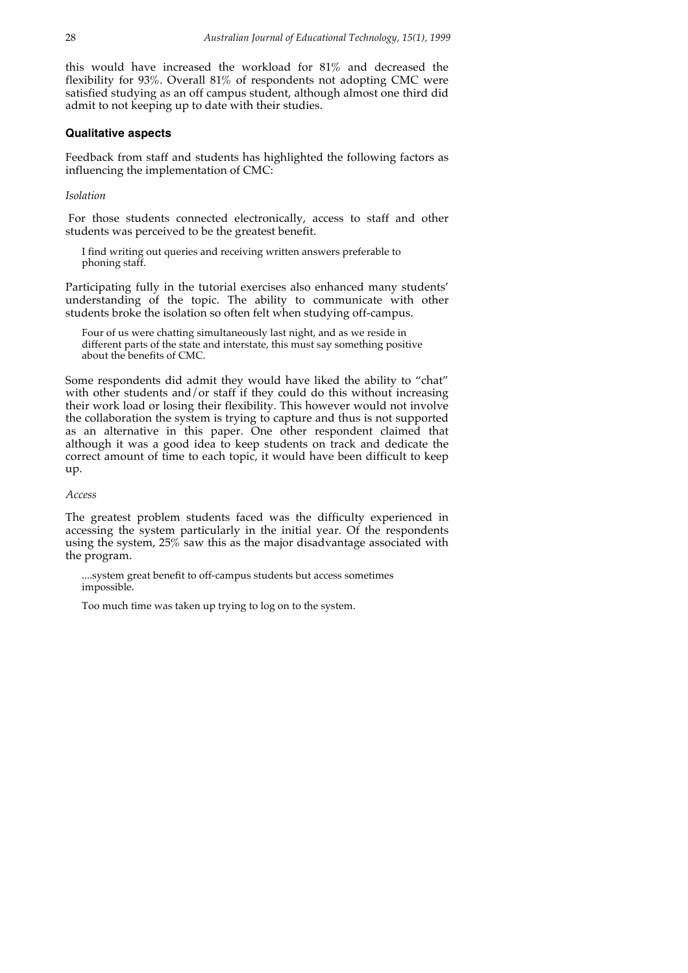this would have increased the workload for 81% and decreased the flexibility for 93%. Overall 81% of respondents not adopting CMC were satisfied studying as an off campus student, although almost one third did admit to not keeping up to date with their studies.

#### **Qualitative aspects**

Feedback from staff and students has highlighted the following factors as influencing the implementation of CMC:

#### *Isolation*

For those students connected electronically, access to staff and other students was perceived to be the greatest benefit.

I find writing out queries and receiving written answers preferable to phoning staff.

Participating fully in the tutorial exercises also enhanced many students' understanding of the topic. The ability to communicate with other students broke the isolation so often felt when studying off-campus.

Four of us were chatting simultaneously last night, and as we reside in different parts of the state and interstate, this must say something positive about the benefits of CMC.

Some respondents did admit they would have liked the ability to "chat" with other students and/or staff if they could do this without increasing their work load or losing their flexibility. This however would not involve the collaboration the system is trying to capture and thus is not supported as an alternative in this paper. One other respondent claimed that although it was a good idea to keep students on track and dedicate the correct amount of time to each topic, it would have been difficult to keep up.

#### *Access*

The greatest problem students faced was the difficulty experienced in accessing the system particularly in the initial year. Of the respondents using the system, 25% saw this as the major disadvantage associated with the program.

....system great benefit to off-campus students but access sometimes impossible.

Too much time was taken up trying to log on to the system.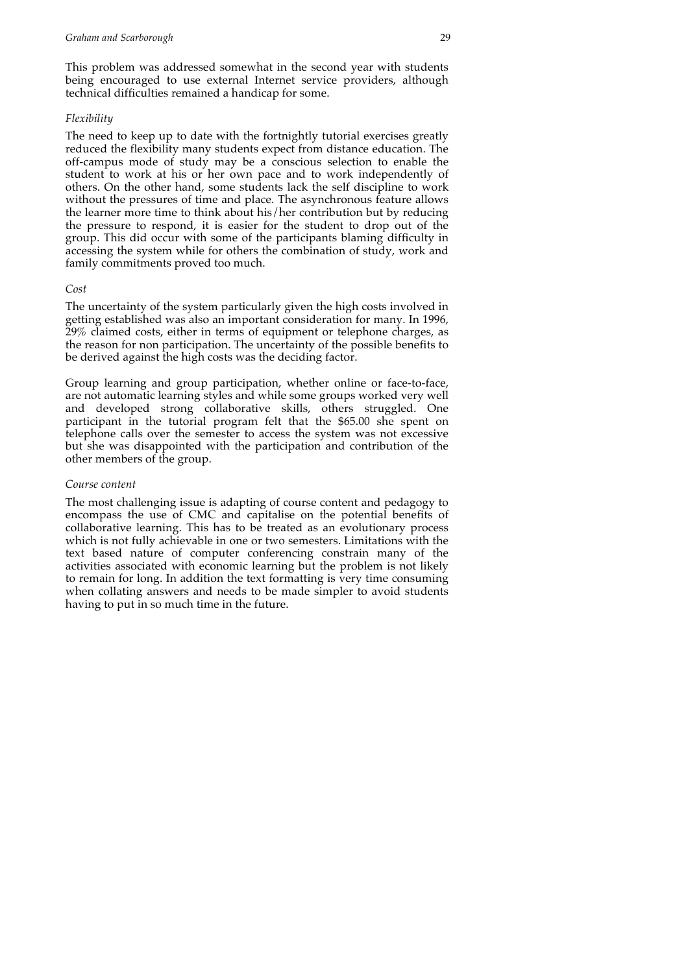This problem was addressed somewhat in the second year with students being encouraged to use external Internet service providers, although technical difficulties remained a handicap for some.

#### *Flexibility*

The need to keep up to date with the fortnightly tutorial exercises greatly reduced the flexibility many students expect from distance education. The off-campus mode of study may be a conscious selection to enable the student to work at his or her own pace and to work independently of others. On the other hand, some students lack the self discipline to work without the pressures of time and place. The asynchronous feature allows the learner more time to think about his/her contribution but by reducing the pressure to respond, it is easier for the student to drop out of the group. This did occur with some of the participants blaming difficulty in accessing the system while for others the combination of study, work and family commitments proved too much.

#### *Cost*

The uncertainty of the system particularly given the high costs involved in getting established was also an important consideration for many. In 1996, 29% claimed costs, either in terms of equipment or telephone charges, as the reason for non participation. The uncertainty of the possible benefits to be derived against the high costs was the deciding factor.

Group learning and group participation, whether online or face-to-face, are not automatic learning styles and while some groups worked very well and developed strong collaborative skills, others struggled. One participant in the tutorial program felt that the \$65.00 she spent on telephone calls over the semester to access the system was not excessive but she was disappointed with the participation and contribution of the other members of the group.

#### *Course content*

The most challenging issue is adapting of course content and pedagogy to encompass the use of CMC and capitalise on the potential benefits of collaborative learning. This has to be treated as an evolutionary process which is not fully achievable in one or two semesters. Limitations with the text based nature of computer conferencing constrain many of the activities associated with economic learning but the problem is not likely to remain for long. In addition the text formatting is very time consuming when collating answers and needs to be made simpler to avoid students having to put in so much time in the future.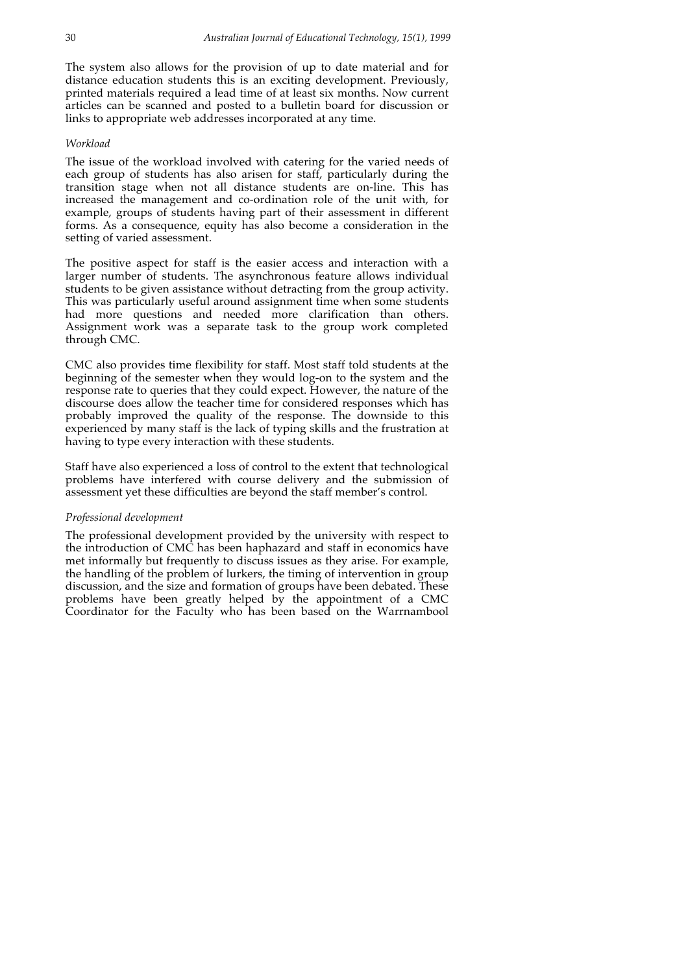The system also allows for the provision of up to date material and for distance education students this is an exciting development. Previously, printed materials required a lead time of at least six months. Now current articles can be scanned and posted to a bulletin board for discussion or links to appropriate web addresses incorporated at any time.

#### *Workload*

The issue of the workload involved with catering for the varied needs of each group of students has also arisen for staff, particularly during the transition stage when not all distance students are on-line. This has increased the management and co-ordination role of the unit with, for example, groups of students having part of their assessment in different forms. As a consequence, equity has also become a consideration in the setting of varied assessment.

The positive aspect for staff is the easier access and interaction with a larger number of students. The asynchronous feature allows individual students to be given assistance without detracting from the group activity. This was particularly useful around assignment time when some students had more questions and needed more clarification than others. Assignment work was a separate task to the group work completed through CMC.

CMC also provides time flexibility for staff. Most staff told students at the beginning of the semester when they would log-on to the system and the response rate to queries that they could expect. However, the nature of the discourse does allow the teacher time for considered responses which has probably improved the quality of the response. The downside to this experienced by many staff is the lack of typing skills and the frustration at having to type every interaction with these students.

Staff have also experienced a loss of control to the extent that technological problems have interfered with course delivery and the submission of assessment yet these difficulties are beyond the staff member's control.

#### *Professional development*

The professional development provided by the university with respect to the introduction of CMC has been haphazard and staff in economics have met informally but frequently to discuss issues as they arise. For example, the handling of the problem of lurkers, the timing of intervention in group discussion, and the size and formation of groups have been debated. These problems have been greatly helped by the appointment of a CMC Coordinator for the Faculty who has been based on the Warrnambool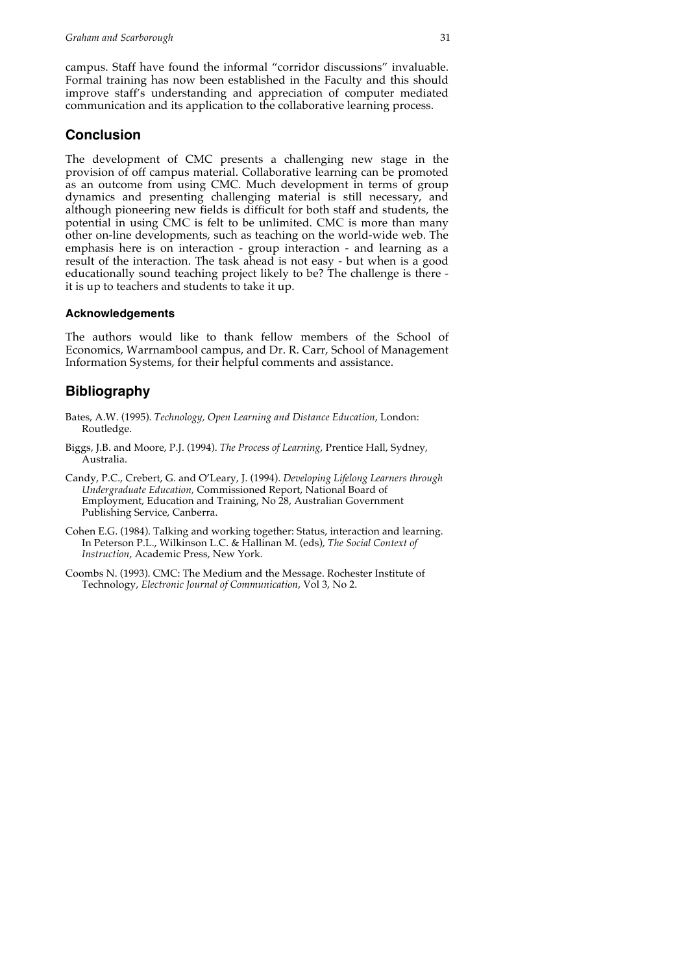campus. Staff have found the informal "corridor discussions" invaluable. Formal training has now been established in the Faculty and this should improve staff's understanding and appreciation of computer mediated communication and its application to the collaborative learning process.

### **Conclusion**

The development of CMC presents a challenging new stage in the provision of off campus material. Collaborative learning can be promoted as an outcome from using CMC. Much development in terms of group dynamics and presenting challenging material is still necessary, and although pioneering new fields is difficult for both staff and students, the potential in using CMC is felt to be unlimited. CMC is more than many other on-line developments, such as teaching on the world-wide web. The emphasis here is on interaction - group interaction - and learning as a result of the interaction. The task ahead is not easy - but when is a good educationally sound teaching project likely to be? The challenge is there it is up to teachers and students to take it up.

### **Acknowledgements**

The authors would like to thank fellow members of the School of Economics, Warrnambool campus, and Dr. R. Carr, School of Management Information Systems, for their helpful comments and assistance.

### **Bibliography**

- Bates, A.W. (1995). *Technology, Open Learning and Distance Education*, London: Routledge.
- Biggs, J.B. and Moore, P.J. (1994). *The Process of Learning*, Prentice Hall, Sydney, Australia.
- Candy, P.C., Crebert, G. and O'Leary, J. (1994). *Developing Lifelong Learners through Undergraduate Education,* Commissioned Report, National Board of Employment, Education and Training, No 28, Australian Government Publishing Service, Canberra.
- Cohen E.G. (1984). Talking and working together: Status, interaction and learning. In Peterson P.L., Wilkinson L.C. & Hallinan M. (eds), *The Social Context of Instruction*, Academic Press, New York.
- Coombs N. (1993). CMC: The Medium and the Message. Rochester Institute of Technology, *Electronic Journal of Communication*, Vol 3, No 2.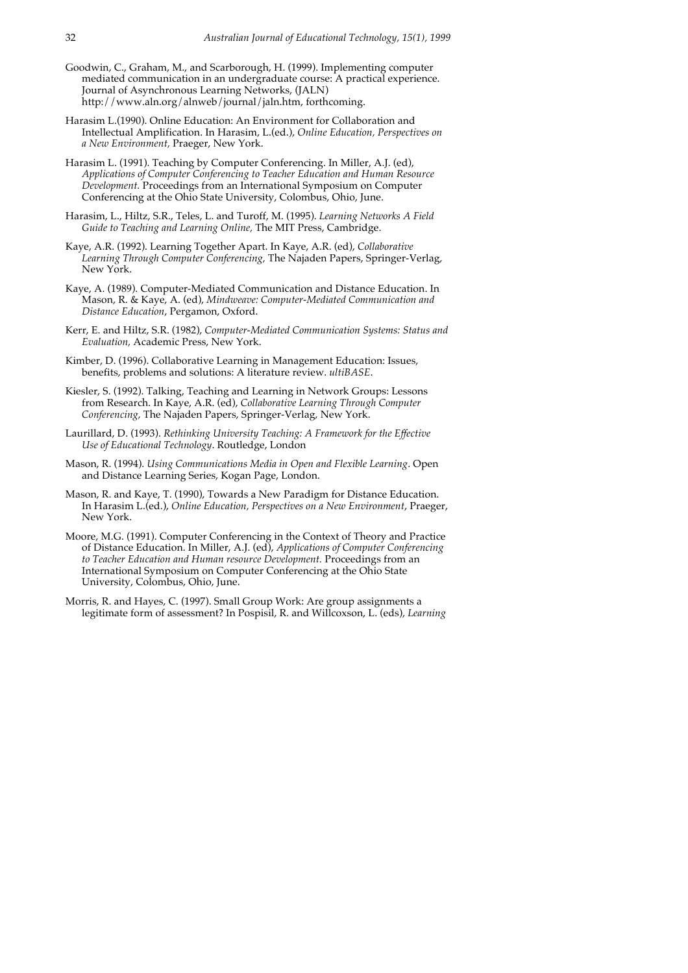- Goodwin, C., Graham, M., and Scarborough, H. (1999). Implementing computer mediated communication in an undergraduate course: A practical experience. Journal of Asynchronous Learning Networks, (JALN) http://www.aln.org/alnweb/journal/jaln.htm, forthcoming.
- Harasim L.(1990). Online Education: An Environment for Collaboration and Intellectual Amplification. In Harasim, L.(ed.), *Online Education, Perspectives on a New Environment,* Praeger, New York.
- Harasim L. (1991). Teaching by Computer Conferencing. In Miller, A.J. (ed), *Applications of Computer Conferencing to Teacher Education and Human Resource Development.* Proceedings from an International Symposium on Computer Conferencing at the Ohio State University, Colombus, Ohio, June.
- Harasim, L., Hiltz, S.R., Teles, L. and Turoff, M. (1995). *Learning Networks A Field Guide to Teaching and Learning Online,* The MIT Press, Cambridge.
- Kaye, A.R. (1992). Learning Together Apart. In Kaye, A.R. (ed), *Collaborative Learning Through Computer Conferencing,* The Najaden Papers, Springer-Verlag, New York.
- Kaye, A. (1989). Computer-Mediated Communication and Distance Education. In Mason, R. & Kaye, A. (ed), *Mindweave: Computer-Mediated Communication and Distance Education*, Pergamon, Oxford.
- Kerr, E. and Hiltz, S.R. (1982), *Computer-Mediated Communication Systems: Status and Evaluation,* Academic Press, New York.
- Kimber, D. (1996). Collaborative Learning in Management Education: Issues, benefits, problems and solutions: A literature review. *ultiBASE*.
- Kiesler, S. (1992). Talking, Teaching and Learning in Network Groups: Lessons from Research. In Kaye, A.R. (ed), *Collaborative Learning Through Computer Conferencing,* The Najaden Papers, Springer-Verlag, New York.
- Laurillard, D. (1993). *Rethinking University Teaching: A Framework for the Effective Use of Educational Technology*. Routledge, London
- Mason, R. (1994). *Using Communications Media in Open and Flexible Learning*. Open and Distance Learning Series, Kogan Page, London.
- Mason, R. and Kaye, T. (1990), Towards a New Paradigm for Distance Education. In Harasim L.(ed.), *Online Education, Perspectives on a New Environment*, Praeger, New York.
- Moore, M.G. (1991). Computer Conferencing in the Context of Theory and Practice of Distance Education. In Miller, A.J. (ed), *Applications of Computer Conferencing to Teacher Education and Human resource Development.* Proceedings from an International Symposium on Computer Conferencing at the Ohio State University, Colombus, Ohio, June.
- Morris, R. and Hayes, C. (1997). Small Group Work: Are group assignments a legitimate form of assessment? In Pospisil, R. and Willcoxson, L. (eds), *Learning*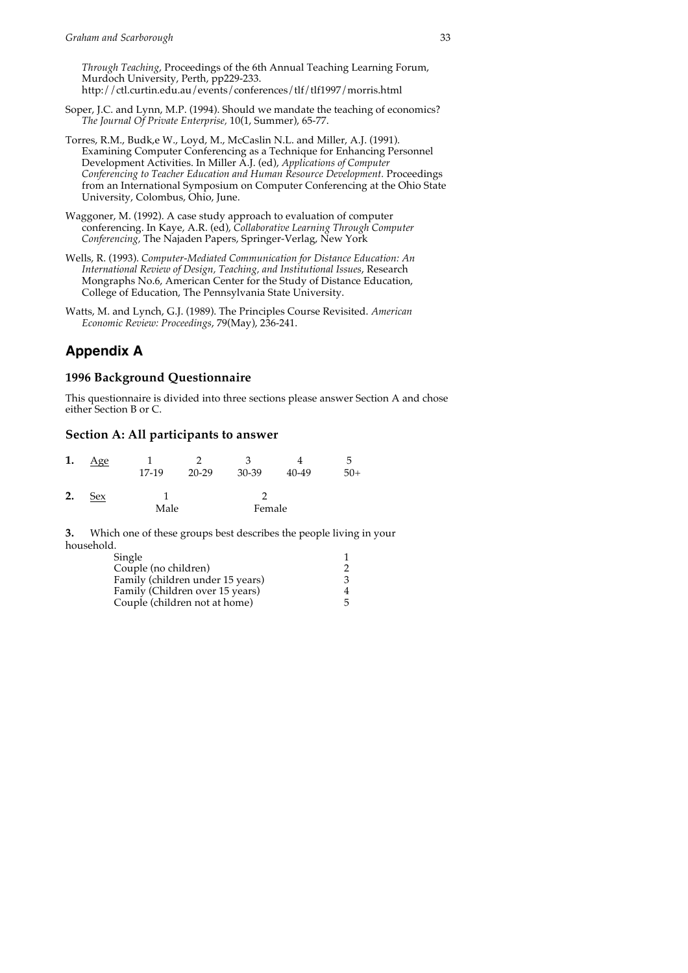*Through Teaching*, Proceedings of the 6th Annual Teaching Learning Forum, Murdoch University, Perth, pp229-233. http://ctl.curtin.edu.au/events/conferences/tlf/tlf1997/morris.html

- Soper, J.C. and Lynn, M.P. (1994). Should we mandate the teaching of economics? *The Journal Of Private Enterprise,* 10(1, Summer), 65-77.
- Torres, R.M., Budk,e W., Loyd, M., McCaslin N.L. and Miller, A.J. (1991). Examining Computer Conferencing as a Technique for Enhancing Personnel Development Activities. In Miller A.J. (ed), *Applications of Computer Conferencing to Teacher Education and Human Resource Development.* Proceedings from an International Symposium on Computer Conferencing at the Ohio State University, Colombus, Ohio, June.
- Waggoner, M. (1992). A case study approach to evaluation of computer conferencing. In Kaye, A.R. (ed), *Collaborative Learning Through Computer Conferencing,* The Najaden Papers, Springer-Verlag, New York
- Wells, R. (1993). *Computer-Mediated Communication for Distance Education: An International Review of Design, Teaching, and Institutional Issues*, Research Mongraphs No.6, American Center for the Study of Distance Education, College of Education, The Pennsylvania State University.
- Watts, M. and Lynch, G.J. (1989). The Principles Course Revisited. *American Economic Review: Proceedings*, 79(May), 236-241.

### **Appendix A**

### **1996 Background Questionnaire**

This questionnaire is divided into three sections please answer Section A and chose either Section B or C.

### **Section A: All participants to answer**

| 1. | Age |       |           |        |       | h     |
|----|-----|-------|-----------|--------|-------|-------|
|    |     | 17-19 | $20 - 29$ | 30-39  | 40-49 | $50+$ |
| 2. | Sex |       |           |        |       |       |
|    |     | Male  |           | Female |       |       |

**3.** Which one of these groups best describes the people living in your household.

| Single                           |   |
|----------------------------------|---|
| Couple (no children)             |   |
| Family (children under 15 years) | З |
| Family (Children over 15 years)  |   |
| Couple (children not at home)    |   |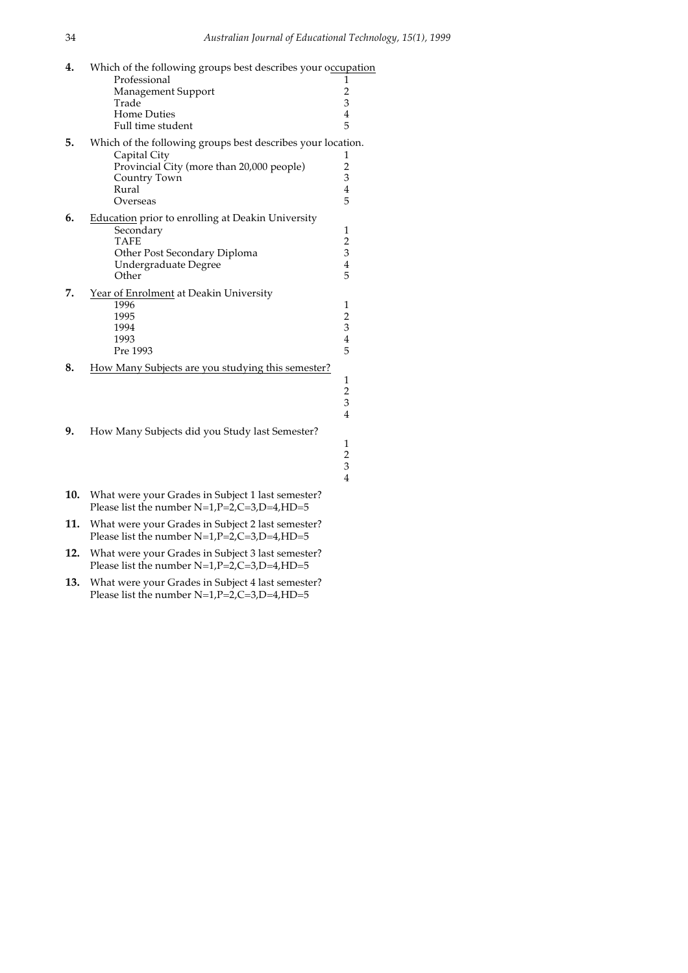| 4. | Which of the following groups best describes your occupation<br>Professional<br>Management Support<br>Trade<br><b>Home Duties</b><br>Full time student        | 1<br>$\frac{2}{3}$<br>$\overline{4}$<br>5            |
|----|---------------------------------------------------------------------------------------------------------------------------------------------------------------|------------------------------------------------------|
| 5. | Which of the following groups best describes your location.<br>Capital City<br>Provincial City (more than 20,000 people)<br>Country Town<br>Rural<br>Overseas | 1<br>$\overline{c}$<br>3<br>$\overline{4}$<br>5      |
| 6. | Education prior to enrolling at Deakin University<br>Secondary<br><b>TAFE</b><br>Other Post Secondary Diploma<br>Undergraduate Degree<br>Other                | 1<br>$\overline{c}$<br>3<br>$\overline{4}$<br>5      |
| 7. | Year of Enrolment at Deakin University<br>1996<br>1995<br>1994<br>1993<br>Pre 1993                                                                            | $\mathbf{1}$<br>$\frac{2}{3}$<br>$\overline{4}$<br>5 |
| 8. | How Many Subjects are you studying this semester?                                                                                                             | 1<br>$\frac{2}{3}$<br>$\overline{4}$                 |
| 9. | How Many Subjects did you Study last Semester?                                                                                                                |                                                      |

- **10.** What were your Grades in Subject 1 last semester? Please list the number  $N=1, P=2, C=3, D=4, HD=5$
- **11.** What were your Grades in Subject 2 last semester? Please list the number N=1,P=2,C=3,D=4,HD=5
- **12.** What were your Grades in Subject 3 last semester? Please list the number  $N=1, P=2, C=3, D=4, HD=5$
- **13.** What were your Grades in Subject 4 last semester? Please list the number N=1,P=2,C=3,D=4,HD=5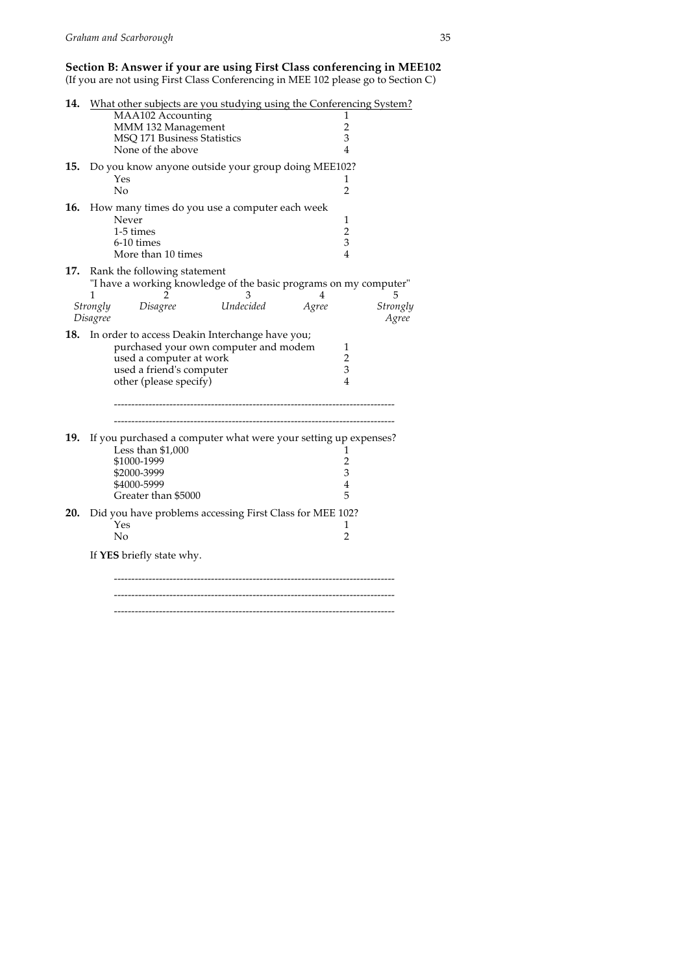#### **Section B: Answer if your are using First Class conferencing in MEE102**

(If you are not using First Class Conferencing in MEE 102 please go to Section C)

| 14. |          |                                                     | What other subjects are you studying using the Conferencing System? |                     |               |
|-----|----------|-----------------------------------------------------|---------------------------------------------------------------------|---------------------|---------------|
|     |          | MAA102 Accounting                                   |                                                                     | 1                   |               |
|     |          | MMM 132 Management<br>MSQ 171 Business Statistics   |                                                                     | 2<br>3              |               |
|     |          | None of the above                                   |                                                                     | 4                   |               |
|     |          |                                                     |                                                                     |                     |               |
|     |          |                                                     | 15. Do you know anyone outside your group doing MEE102?             |                     |               |
|     |          | Yes<br>$\overline{N}$                               |                                                                     | 1<br>$\mathfrak{D}$ |               |
|     |          |                                                     |                                                                     |                     |               |
|     |          |                                                     | 16. How many times do you use a computer each week                  |                     |               |
|     |          | Never                                               |                                                                     | 1                   |               |
|     |          | 1-5 times<br>6-10 times                             |                                                                     | $\overline{2}$<br>3 |               |
|     |          | More than 10 times                                  |                                                                     | 4                   |               |
|     |          |                                                     |                                                                     |                     |               |
| 17. |          | Rank the following statement                        |                                                                     |                     |               |
|     | 1        |                                                     | "I have a working knowledge of the basic programs on my computer"   |                     |               |
|     | Strongly | 2<br>Disagree                                       | 3<br>Undecided                                                      | 4<br>Agree          | 5<br>Strongly |
|     | Disagree |                                                     |                                                                     |                     | Agree         |
|     |          |                                                     |                                                                     |                     |               |
|     |          |                                                     | 18. In order to access Deakin Interchange have you;                 |                     |               |
|     |          |                                                     | purchased your own computer and modem                               | 1<br>$\overline{2}$ |               |
|     |          | used a computer at work<br>used a friend's computer |                                                                     | 3                   |               |
|     |          | other (please specify)                              |                                                                     | $\overline{4}$      |               |
|     |          |                                                     |                                                                     |                     |               |
|     |          |                                                     |                                                                     |                     |               |
|     |          |                                                     |                                                                     |                     |               |
|     |          |                                                     |                                                                     |                     |               |
| 19. |          |                                                     | If you purchased a computer what were your setting up expenses?     |                     |               |
|     |          | Less than $$1,000$<br>\$1000-1999                   |                                                                     | 1<br>$\overline{2}$ |               |
|     |          | \$2000-3999                                         |                                                                     | 3                   |               |
|     |          | \$4000-5999                                         |                                                                     | 4                   |               |
|     |          | Greater than \$5000                                 |                                                                     | 5                   |               |
| 20. |          |                                                     |                                                                     |                     |               |
|     |          | Yes                                                 | Did you have problems accessing First Class for MEE 102?            | 1                   |               |
|     |          | No                                                  |                                                                     | 2                   |               |
|     |          |                                                     |                                                                     |                     |               |
|     |          | If YES briefly state why.                           |                                                                     |                     |               |
|     |          |                                                     |                                                                     |                     |               |
|     |          |                                                     |                                                                     |                     |               |
|     |          |                                                     |                                                                     |                     |               |
|     |          |                                                     |                                                                     |                     |               |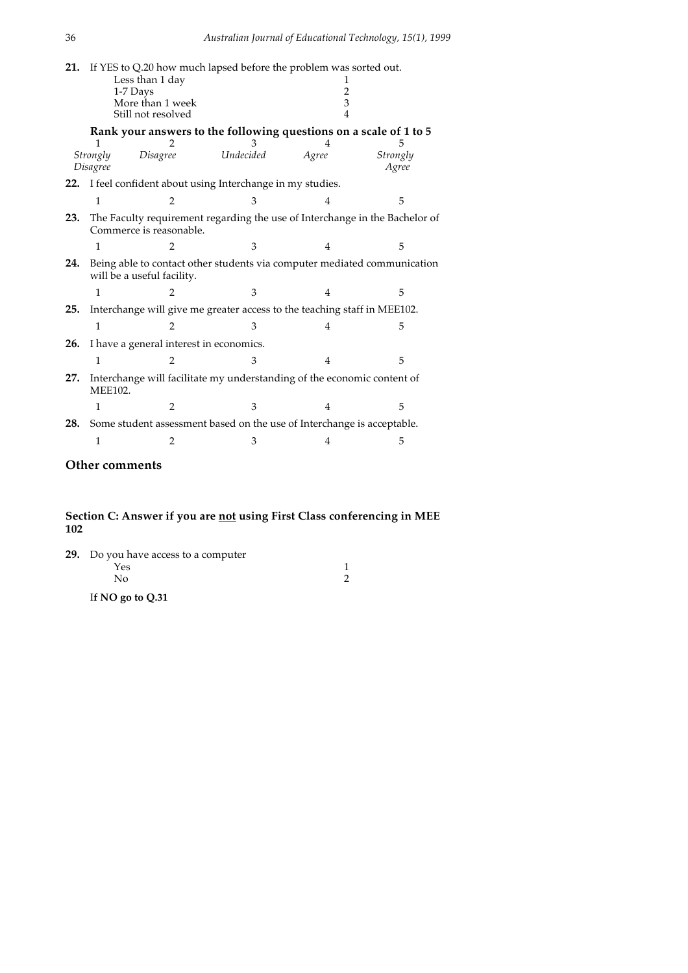| 21. |                      | If YES to Q.20 how much lapsed before the problem was sorted out.<br>Less than 1 day<br>1-7 Days<br>More than 1 week<br>Still not resolved |           | 2<br>3 |                   |
|-----|----------------------|--------------------------------------------------------------------------------------------------------------------------------------------|-----------|--------|-------------------|
|     |                      | Rank your answers to the following questions on a scale of 1 to 5                                                                          |           |        |                   |
|     | Strongly<br>Disagree | Disagree                                                                                                                                   | Undecided | Agree  | Strongly<br>Agree |
|     |                      | 22. I feel confident about using Interchange in my studies.                                                                                |           |        |                   |
|     | 1                    | $\mathfrak{D}$                                                                                                                             | 3         | 4      | 5                 |
| 23. |                      | The Faculty requirement regarding the use of Interchange in the Bachelor of<br>Commerce is reasonable.                                     |           |        |                   |
|     | 1                    | $\overline{2}$                                                                                                                             | 3         | 4      | 5                 |
| 24. |                      | Being able to contact other students via computer mediated communication<br>will be a useful facility.                                     |           |        |                   |
|     | 1                    | $\overline{2}$                                                                                                                             | 3         | 4      | 5                 |
| 25. |                      | Interchange will give me greater access to the teaching staff in MEE102.                                                                   |           |        |                   |
|     | 1                    | $\mathcal{P}$                                                                                                                              | З         | 4      | 5                 |
| 26. |                      | I have a general interest in economics.                                                                                                    |           |        |                   |
|     | 1                    | $\overline{2}$                                                                                                                             | 3         | 4      | 5                 |
| 27. | <b>MEE102.</b>       | Interchange will facilitate my understanding of the economic content of                                                                    |           |        |                   |
|     | 1                    | $\overline{2}$                                                                                                                             | 3         | 4      | 5                 |
| 28. |                      | Some student assessment based on the use of Interchange is acceptable.                                                                     |           |        |                   |
|     | 1                    | 2                                                                                                                                          | 3         | 4      | 5                 |

## **Other comments**

#### **Section C: Answer if you are not using First Class conferencing in MEE 102**

| <b>29.</b> Do you have access to a computer |  |
|---------------------------------------------|--|
| Yes                                         |  |
| Nο                                          |  |
| If $NO$ go to $O.31$                        |  |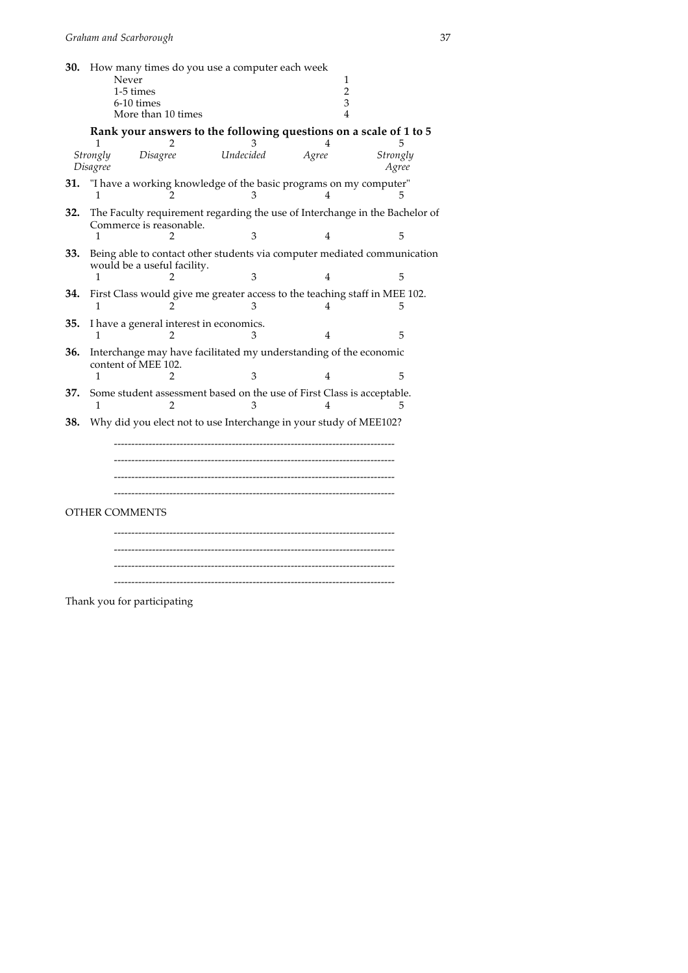| 30. |                      | How many times do you use a computer each week<br>Never<br>1-5 times<br>6-10 times<br>More than 10 times |           | 1<br>$\overline{2}$<br>3<br>$\overline{\mathcal{L}}$ |                   |
|-----|----------------------|----------------------------------------------------------------------------------------------------------|-----------|------------------------------------------------------|-------------------|
|     |                      | Rank your answers to the following questions on a scale of 1 to 5<br>2                                   |           | 4                                                    |                   |
|     | Strongly<br>Disagree | Disagree                                                                                                 | Undecided | Agree                                                | Strongly<br>Agree |
| 31. |                      | "I have a working knowledge of the basic programs on my computer"                                        |           | 4                                                    |                   |
| 32. | 1                    | The Faculty requirement regarding the use of Interchange in the Bachelor of<br>Commerce is reasonable.   | 3         | 4                                                    | 5                 |
| 33. |                      | Being able to contact other students via computer mediated communication<br>would be a useful facility.  |           |                                                      |                   |
| 34. | 1                    | 2<br>First Class would give me greater access to the teaching staff in MEE 102.                          | 3         | 4                                                    | 5                 |
|     | 1                    | 2                                                                                                        |           |                                                      | 5                 |
| 35. |                      | I have a general interest in economics.                                                                  |           | 4                                                    | 5                 |
| 36. |                      | Interchange may have facilitated my understanding of the economic                                        |           |                                                      |                   |
|     | 1                    | content of MEE 102.<br>っ                                                                                 | 3         | 4                                                    | 5                 |
| 37. | 1                    | Some student assessment based on the use of First Class is acceptable.<br>2                              |           | 4                                                    | 5                 |
| 38. |                      | Why did you elect not to use Interchange in your study of MEE102?                                        |           |                                                      |                   |
|     |                      | OTHER COMMENTS                                                                                           |           |                                                      |                   |

Thank you for participating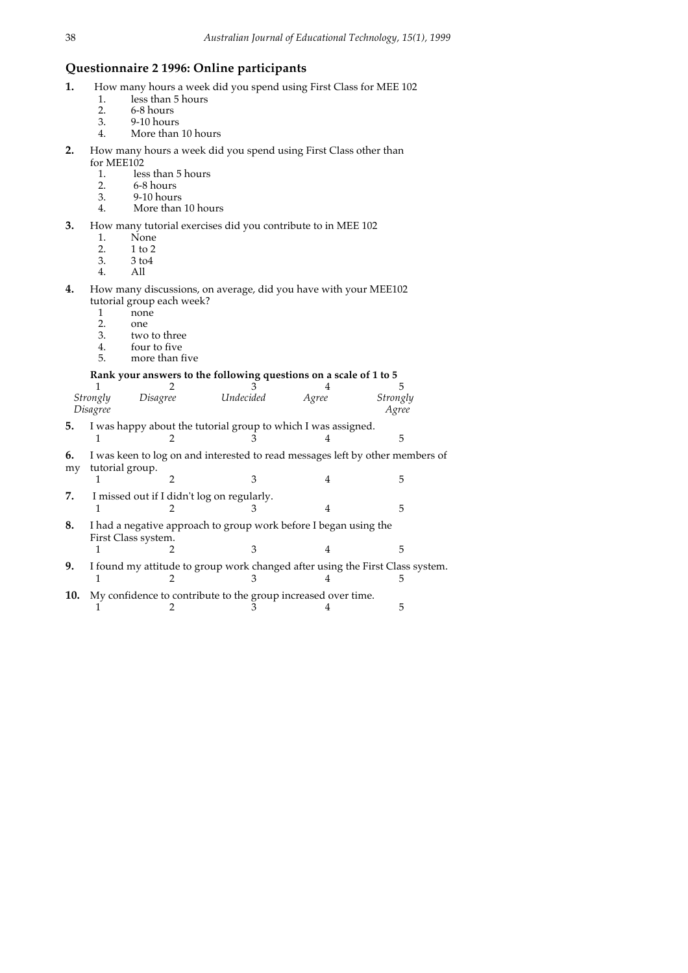### **Questionnaire 2 1996: Online participants**

- **1.** How many hours a week did you spend using First Class for MEE 102 1. less than 5 hours
	- 1. less than 5 hours<br>2. 6-8 hours
	- 2. 6-8 hours<br>3. 9-10 hour
	- 3. 9-10 hours
	- More than 10 hours
- **2.** How many hours a week did you spend using First Class other than for MEE102
	- 1. less than 5 hours<br>2. 6-8 hours
	- 2. 6-8 hours<br>3. 9-10 hours
	- 3. 9-10 hours More than 10 hours
- **3.** How many tutorial exercises did you contribute to in MEE 102
	-
	- 1. None<br>2. 1 to 2
	- 2. 1 to 2<br>3. 3 to 4 3. 3 to4
	- 4. All
- **4.** How many discussions, on average, did you have with your MEE102 tutorial group each week?
	- 1 none<br>2. one
	- 2. one<br>3. two
	- 3. two to three<br>4. four to five
	- four to five
	- 5. more than five

### **Rank your answers to the following questions on a scale of 1 to 5**

|          |                 |                                            | Rail your allowers to the following questions on a scale of 1 to 5 |       |                                                                               |
|----------|-----------------|--------------------------------------------|--------------------------------------------------------------------|-------|-------------------------------------------------------------------------------|
|          |                 |                                            |                                                                    |       |                                                                               |
|          | Strongly        | Disagree                                   | Undecided                                                          | Agree | <b>Strongly</b>                                                               |
|          | Disagree        |                                            |                                                                    |       | Agree                                                                         |
| 5.       |                 |                                            | I was happy about the tutorial group to which I was assigned.      |       |                                                                               |
|          |                 |                                            |                                                                    |       | 5                                                                             |
| 6.<br>my | tutorial group. |                                            |                                                                    |       | I was keen to log on and interested to read messages left by other members of |
|          |                 |                                            |                                                                    | 4     | 5                                                                             |
| 7.       |                 | I missed out if I didn't log on regularly. |                                                                    | 4     | 5                                                                             |
| 8.       |                 | First Class system.                        | I had a negative approach to group work before I began using the   |       | 5                                                                             |
|          |                 |                                            |                                                                    |       |                                                                               |
| 9.       |                 |                                            |                                                                    |       | I found my attitude to group work changed after using the First Class system. |
|          |                 |                                            |                                                                    |       | ۰,                                                                            |
| 10.      |                 |                                            | My confidence to contribute to the group increased over time.      |       |                                                                               |
|          |                 |                                            |                                                                    |       | 5                                                                             |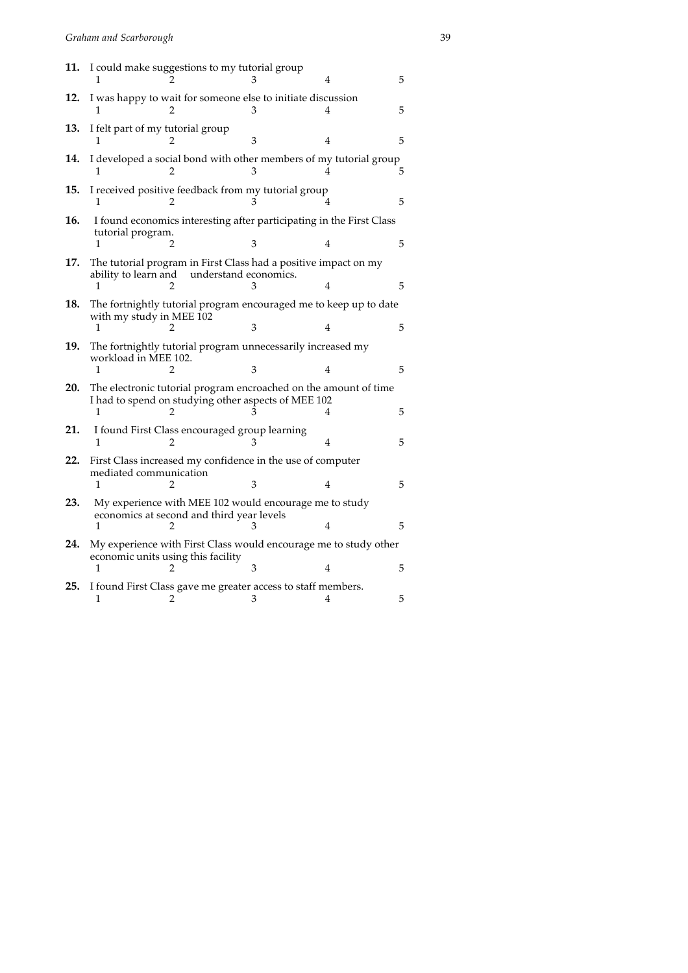|                                         |                        |                                                                                                                     | 5                                                                                                                                                                                                                                                                                                                                                                                                                                                                                                                                                                                                                                                                                                                                                                                                                                                                                                                             |
|-----------------------------------------|------------------------|---------------------------------------------------------------------------------------------------------------------|-------------------------------------------------------------------------------------------------------------------------------------------------------------------------------------------------------------------------------------------------------------------------------------------------------------------------------------------------------------------------------------------------------------------------------------------------------------------------------------------------------------------------------------------------------------------------------------------------------------------------------------------------------------------------------------------------------------------------------------------------------------------------------------------------------------------------------------------------------------------------------------------------------------------------------|
|                                         |                        |                                                                                                                     | 5                                                                                                                                                                                                                                                                                                                                                                                                                                                                                                                                                                                                                                                                                                                                                                                                                                                                                                                             |
|                                         | 3                      | 4                                                                                                                   | 5                                                                                                                                                                                                                                                                                                                                                                                                                                                                                                                                                                                                                                                                                                                                                                                                                                                                                                                             |
| 2                                       | З                      |                                                                                                                     | 5.                                                                                                                                                                                                                                                                                                                                                                                                                                                                                                                                                                                                                                                                                                                                                                                                                                                                                                                            |
| 1                                       |                        | 4                                                                                                                   | 5                                                                                                                                                                                                                                                                                                                                                                                                                                                                                                                                                                                                                                                                                                                                                                                                                                                                                                                             |
| tutorial program.<br>1                  |                        |                                                                                                                     | 5                                                                                                                                                                                                                                                                                                                                                                                                                                                                                                                                                                                                                                                                                                                                                                                                                                                                                                                             |
| ability to learn and                    |                        |                                                                                                                     |                                                                                                                                                                                                                                                                                                                                                                                                                                                                                                                                                                                                                                                                                                                                                                                                                                                                                                                               |
|                                         |                        | 4                                                                                                                   | 5                                                                                                                                                                                                                                                                                                                                                                                                                                                                                                                                                                                                                                                                                                                                                                                                                                                                                                                             |
| 1                                       | 3                      | 4                                                                                                                   | 5                                                                                                                                                                                                                                                                                                                                                                                                                                                                                                                                                                                                                                                                                                                                                                                                                                                                                                                             |
| workload in MEE 102.                    |                        |                                                                                                                     |                                                                                                                                                                                                                                                                                                                                                                                                                                                                                                                                                                                                                                                                                                                                                                                                                                                                                                                               |
| 1<br>2                                  |                        |                                                                                                                     | 5                                                                                                                                                                                                                                                                                                                                                                                                                                                                                                                                                                                                                                                                                                                                                                                                                                                                                                                             |
| 1                                       |                        | 4                                                                                                                   | 5                                                                                                                                                                                                                                                                                                                                                                                                                                                                                                                                                                                                                                                                                                                                                                                                                                                                                                                             |
| 1<br>2                                  |                        | 4                                                                                                                   | 5                                                                                                                                                                                                                                                                                                                                                                                                                                                                                                                                                                                                                                                                                                                                                                                                                                                                                                                             |
|                                         |                        |                                                                                                                     |                                                                                                                                                                                                                                                                                                                                                                                                                                                                                                                                                                                                                                                                                                                                                                                                                                                                                                                               |
| 1<br>2                                  | 3                      | 4                                                                                                                   | 5                                                                                                                                                                                                                                                                                                                                                                                                                                                                                                                                                                                                                                                                                                                                                                                                                                                                                                                             |
| 1                                       |                        | 4                                                                                                                   | 5                                                                                                                                                                                                                                                                                                                                                                                                                                                                                                                                                                                                                                                                                                                                                                                                                                                                                                                             |
|                                         |                        |                                                                                                                     |                                                                                                                                                                                                                                                                                                                                                                                                                                                                                                                                                                                                                                                                                                                                                                                                                                                                                                                               |
| economic units using this facility<br>1 | 3                      | 4                                                                                                                   | 5                                                                                                                                                                                                                                                                                                                                                                                                                                                                                                                                                                                                                                                                                                                                                                                                                                                                                                                             |
|                                         | mediated communication | I felt part of my tutorial group<br>3<br>with my study in MEE 102<br>3<br>economics at second and third year levels | I could make suggestions to my tutorial group<br>I was happy to wait for someone else to initiate discussion<br>I developed a social bond with other members of my tutorial group<br>I received positive feedback from my tutorial group<br>I found economics interesting after participating in the First Class<br>4<br>The tutorial program in First Class had a positive impact on my<br>understand economics.<br>The fortnightly tutorial program encouraged me to keep up to date<br>The fortnightly tutorial program unnecessarily increased my<br>The electronic tutorial program encroached on the amount of time<br>I had to spend on studying other aspects of MEE 102<br>I found First Class encouraged group learning<br>First Class increased my confidence in the use of computer<br>My experience with MEE 102 would encourage me to study<br>My experience with First Class would encourage me to study other |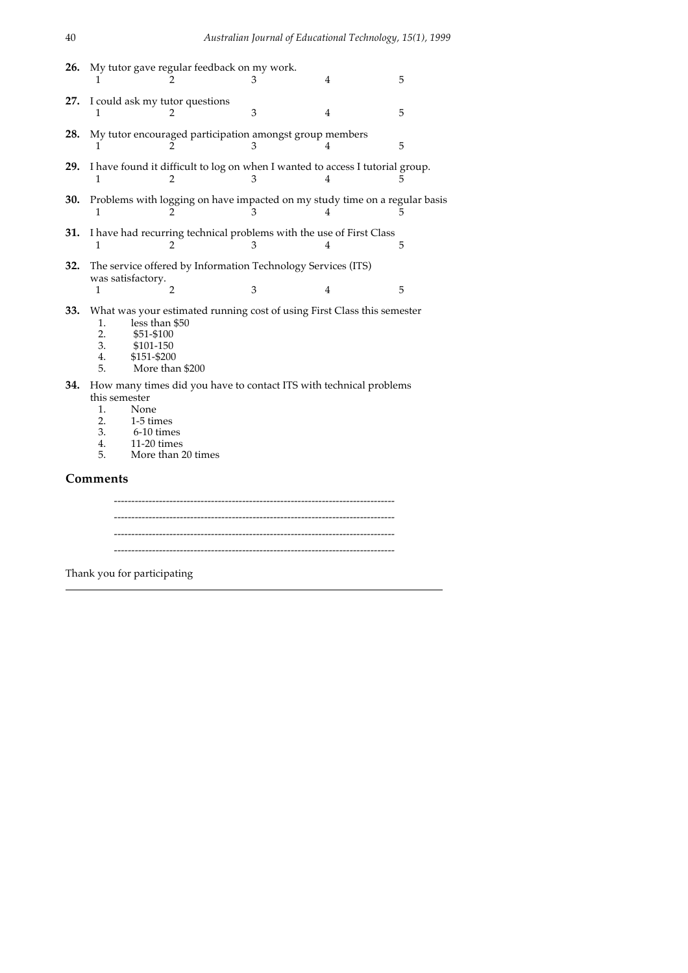| 26. |                                             |                                                                             | My tutor gave regular feedback on my work.<br>З                                    | 4              | 5 |
|-----|---------------------------------------------|-----------------------------------------------------------------------------|------------------------------------------------------------------------------------|----------------|---|
| 27. |                                             | I could ask my tutor questions                                              | 3                                                                                  | 4              | 5 |
| 28. |                                             |                                                                             | My tutor encouraged participation amongst group members<br>З                       | 4              | 5 |
| 29. | 1                                           | 2                                                                           | I have found it difficult to log on when I wanted to access I tutorial group.<br>З | 4              |   |
| 30. |                                             |                                                                             | Problems with logging on have impacted on my study time on a regular basis<br>3    |                |   |
| 31. | 1                                           | 2                                                                           | I have had recurring technical problems with the use of First Class<br>3           | 4              | 5 |
| 32. | 1                                           | was satisfactory.<br>$\overline{2}$                                         | The service offered by Information Technology Services (ITS)<br>3                  | $\overline{4}$ | 5 |
| 33. | 1.<br>2.<br>3.<br>4.<br>5.                  | less than \$50<br>\$51-\$100<br>\$101-150<br>\$151-\$200<br>More than \$200 | What was your estimated running cost of using First Class this semester            |                |   |
|     | this semester<br>1.<br>2.<br>3.<br>4.<br>5. | None<br>1-5 times<br>6-10 times<br>$11-20$ times<br>More than 20 times      | 34. How many times did you have to contact ITS with technical problems             |                |   |
|     | Comments                                    |                                                                             |                                                                                    |                |   |

--------------------------------------------------------------------------------- ---------------------------------------------------------------------------------

Thank you for participating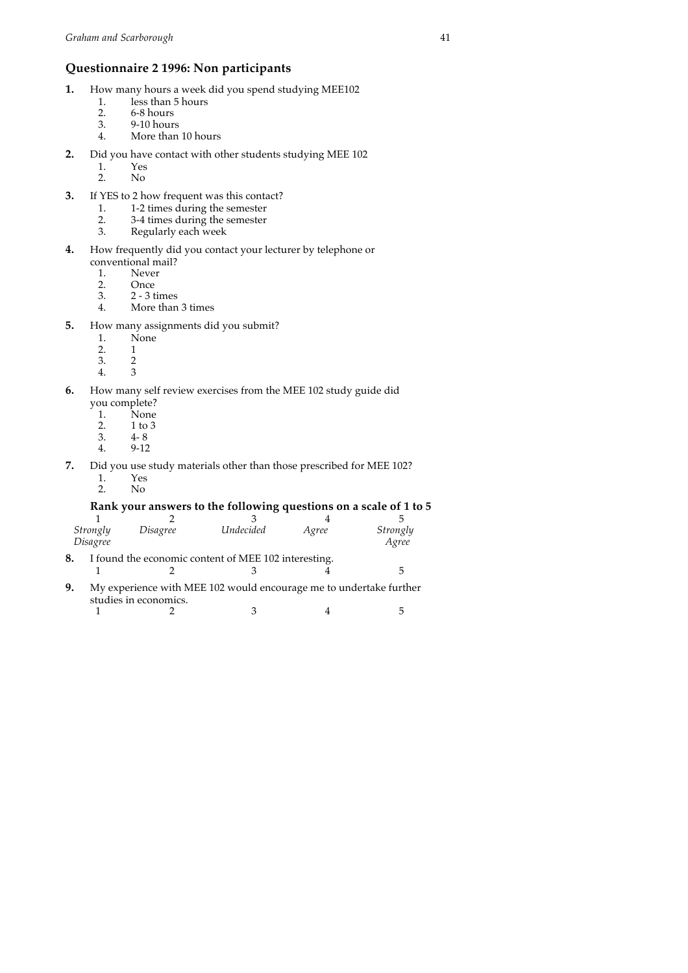### **Questionnaire 2 1996: Non participants**

- **1.** How many hours a week did you spend studying MEE102<br>1. less than 5 hours
	- 1. less than 5 hours<br>2. 6-8 hours
	- 2. 6-8 hours<br>3. 9-10 hours
	- 3. 9-10 hours More than 10 hours
- **2.** Did you have contact with other students studying MEE 102
	-
	- 1. Yes<br>2. No N<sub>o</sub>
- **3.** If YES to 2 how frequent was this contact?
	- 1. 1-2 times during the semester<br>2. 3-4 times during the semester
	- 2. 3-4 times during the semester
	- 3. Regularly each week
- **4.** How frequently did you contact your lecturer by telephone or conventional mail?<br>1. Never
	- 1. Never<br>2. Once
	- 2. Once<br>3. 2 3 t
	- 3. 2 3 times 4. More than 3 times
- **5.** How many assignments did you submit?<br>1. None
	- $\overline{1}^{\text{None}}$
	-
	- $\begin{matrix} 2. & 1 \\ 3. & 2 \end{matrix}$
	- $\begin{matrix} 3. & 2 \\ 4. & 3 \end{matrix}$ 4.
- **6.** How many self review exercises from the MEE 102 study guide did you complete?
	- 1. None<br>2. 1 to 3
	- 2. 1 to 3<br>3. 4-8
	- 3.  $4-8$ <br>4.  $9-12$
	- 4. 9-12
- **7.** Did you use study materials other than those prescribed for MEE 102? 1. Yes<br>2. No
	- 2. No

### **Rank your answers to the following questions on a scale of 1 to 5**

| Strongly<br>Disagree | Disagree | Undecided | Agree | Strongly<br>Agree |
|----------------------|----------|-----------|-------|-------------------|
|                      |          |           |       |                   |

**8.** I found the economic content of MEE 102 interesting. 1 2 3 4 5

**9.** My experience with MEE 102 would encourage me to undertake further studies in economics.

1 2 3 4 5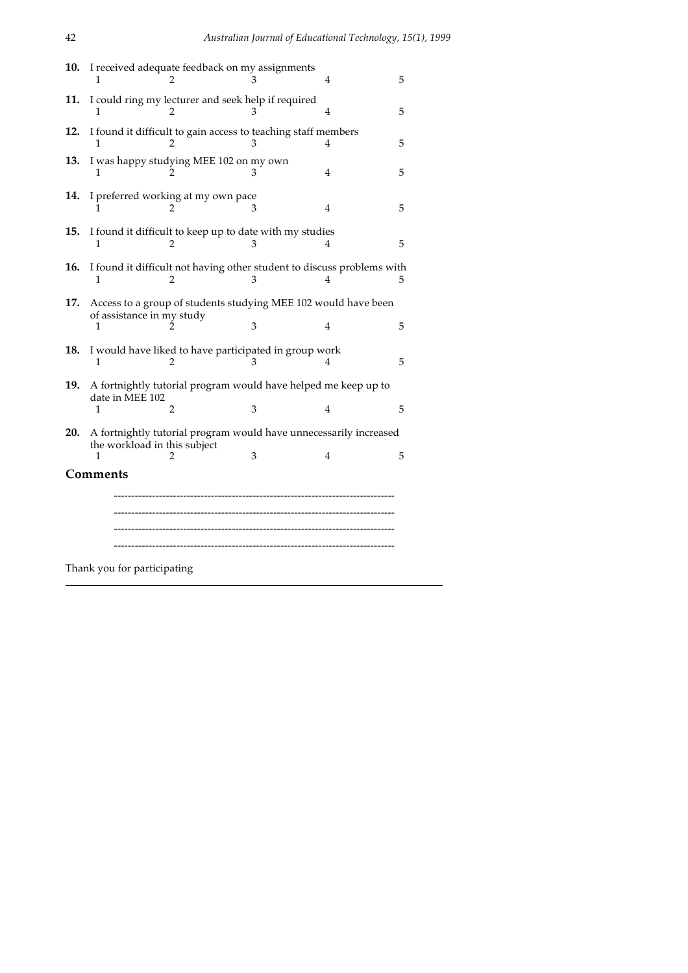| 10. | I received adequate feedback on my assignments                                                              |   | 4              | 5 |
|-----|-------------------------------------------------------------------------------------------------------------|---|----------------|---|
| 11. | I could ring my lecturer and seek help if required<br>1<br>$\mathcal{P}$                                    | 3 | 4              | 5 |
| 12. | I found it difficult to gain access to teaching staff members<br>1                                          | 3 | 4              | 5 |
| 13. | I was happy studying MEE 102 on my own<br>1                                                                 |   | 4              | 5 |
| 14. | I preferred working at my own pace<br>2                                                                     | 3 | 4              | 5 |
| 15. | I found it difficult to keep up to date with my studies<br>1<br>2                                           |   | 4              | 5 |
| 16. | I found it difficult not having other student to discuss problems with<br>1<br>2                            | 3 | 4              | 5 |
| 17. | Access to a group of students studying MEE 102 would have been<br>of assistance in my study<br>1            | 3 | $\overline{4}$ | 5 |
| 18. | I would have liked to have participated in group work<br>2<br>1                                             | 3 | 4              | 5 |
| 19. | A fortnightly tutorial program would have helped me keep up to<br>date in MEE 102<br>1<br>2                 | 3 | 4              | 5 |
| 20. | A fortnightly tutorial program would have unnecessarily increased<br>the workload in this subject<br>1<br>2 | 3 | 4              | 5 |
|     | Comments                                                                                                    |   |                |   |
|     | Thank you for participating                                                                                 |   |                |   |
|     |                                                                                                             |   |                |   |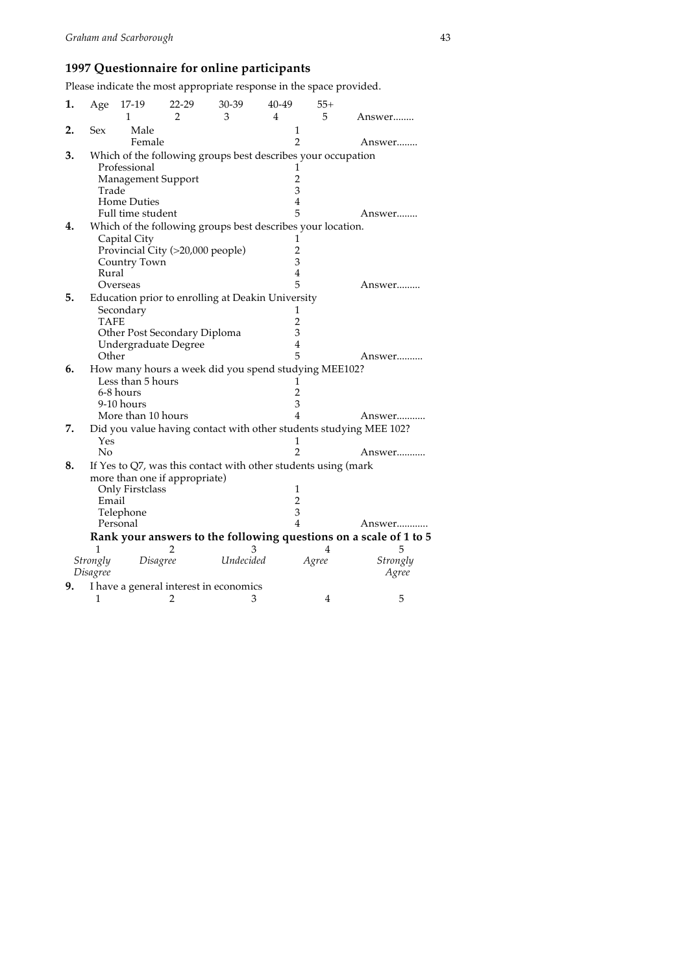# **1997 Questionnaire for online participants**

Please indicate the most appropriate response in the space provided.

| 1. | Age         | 17-19              | 22-29                            | 30-39                                                          | 40-49          | $55+$ |                                                                    |
|----|-------------|--------------------|----------------------------------|----------------------------------------------------------------|----------------|-------|--------------------------------------------------------------------|
|    |             | 1                  | $\overline{2}$                   | 3                                                              | 4              | 5     | Answer                                                             |
| 2. | Sex         | Male               |                                  |                                                                | 1              |       |                                                                    |
|    |             | Female             |                                  |                                                                | $\overline{2}$ |       | Answer…….                                                          |
| 3. |             |                    |                                  | Which of the following groups best describes your occupation   |                |       |                                                                    |
|    |             | Professional       |                                  |                                                                | 1              |       |                                                                    |
|    |             | Management Support |                                  |                                                                | 2              |       |                                                                    |
|    | Trade       |                    |                                  |                                                                | 3              |       |                                                                    |
|    |             | <b>Home Duties</b> |                                  |                                                                | $\overline{4}$ |       |                                                                    |
|    |             | Full time student  |                                  |                                                                | 5              |       | Answer……                                                           |
| 4. |             |                    |                                  | Which of the following groups best describes your location.    |                |       |                                                                    |
|    |             | Capital City       |                                  |                                                                | 1              |       |                                                                    |
|    |             |                    | Provincial City (>20,000 people) |                                                                | 2              |       |                                                                    |
|    |             | Country Town       |                                  |                                                                | 3              |       |                                                                    |
|    | Rural       |                    |                                  |                                                                | 4              |       |                                                                    |
|    |             | Overseas           |                                  |                                                                | 5              |       | Answer………                                                          |
| 5. |             |                    |                                  | Education prior to enrolling at Deakin University              |                |       |                                                                    |
|    |             | Secondary          |                                  |                                                                | T              |       |                                                                    |
|    | <b>TAFE</b> |                    |                                  |                                                                | $\overline{2}$ |       |                                                                    |
|    |             |                    | Other Post Secondary Diploma     |                                                                | 3              |       |                                                                    |
|    |             |                    | Undergraduate Degree             |                                                                | 4              |       |                                                                    |
|    | Other       |                    |                                  |                                                                | 5              |       | Answer                                                             |
| 6. |             |                    |                                  | How many hours a week did you spend studying MEE102?           |                |       |                                                                    |
|    |             | Less than 5 hours  |                                  |                                                                | 1              |       |                                                                    |
|    |             | 6-8 hours          |                                  |                                                                | $\overline{2}$ |       |                                                                    |
|    |             | 9-10 hours         |                                  |                                                                | 3              |       |                                                                    |
|    |             | More than 10 hours |                                  |                                                                | $\overline{4}$ |       | Answer                                                             |
| 7. |             |                    |                                  |                                                                |                |       | Did you value having contact with other students studying MEE 102? |
|    | Yes         |                    |                                  |                                                                |                |       |                                                                    |
|    | No          |                    |                                  |                                                                | 2              |       | Answer                                                             |
| 8. |             |                    |                                  | If Yes to Q7, was this contact with other students using (mark |                |       |                                                                    |
|    |             |                    | more than one if appropriate)    |                                                                |                |       |                                                                    |
|    |             | Only Firstclass    |                                  |                                                                | 1              |       |                                                                    |
|    | Email       |                    |                                  |                                                                | $\overline{2}$ |       |                                                                    |
|    |             | Telephone          |                                  |                                                                | 3              |       |                                                                    |
|    |             | Personal           |                                  |                                                                | $\overline{4}$ |       | Answer                                                             |
|    |             |                    |                                  |                                                                |                |       | Rank your answers to the following questions on a scale of 1 to 5  |
|    | 1           |                    |                                  | З                                                              |                | 4     | 5                                                                  |
|    | Strongly    |                    | Disagree                         | Undecided                                                      |                | Agree | Strongly                                                           |
|    | Disagree    |                    |                                  |                                                                |                |       | Agree                                                              |
| 9. |             |                    |                                  | I have a general interest in economics                         |                |       |                                                                    |
|    | 1           |                    | 2                                | 3                                                              |                | 4     | 5                                                                  |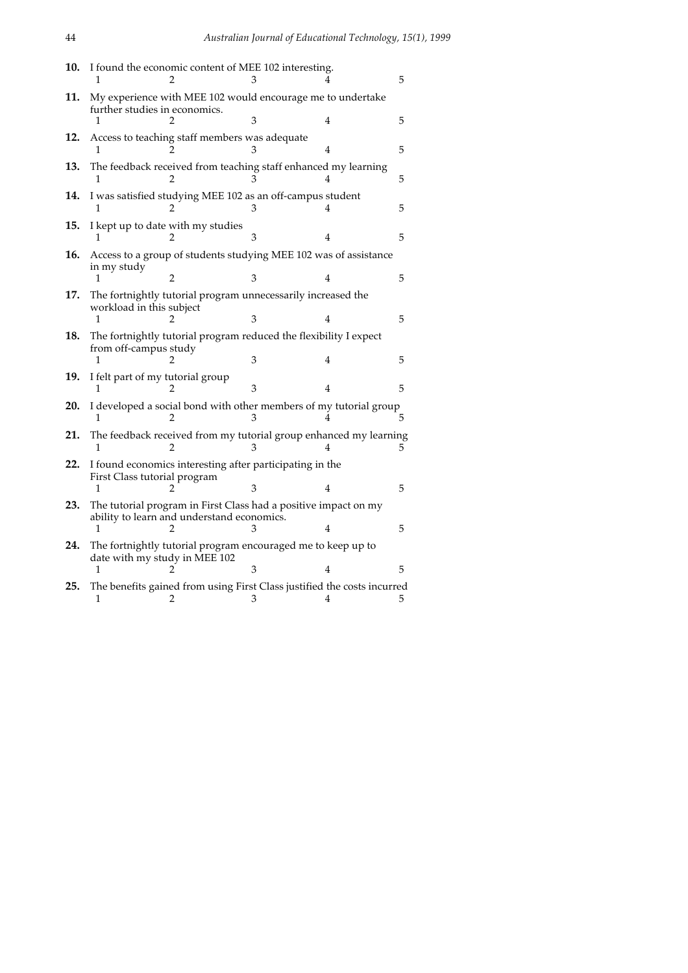| 10. |                                  | I found the economic content of MEE 102 interesting.                                                          |   |   | 5             |
|-----|----------------------------------|---------------------------------------------------------------------------------------------------------------|---|---|---------------|
| 11. | further studies in economics.    | My experience with MEE 102 would encourage me to undertake                                                    |   |   |               |
| 12. | 1                                | Access to teaching staff members was adequate                                                                 |   | 4 | 5             |
|     | 1                                |                                                                                                               |   |   | 5             |
| 13. | 1                                | The feedback received from teaching staff enhanced my learning                                                |   |   | 5             |
| 14. | 1                                | I was satisfied studying MEE 102 as an off-campus student                                                     |   |   | 5             |
| 15. |                                  | I kept up to date with my studies                                                                             | 3 | 4 | 5             |
| 16. | in my study                      | Access to a group of students studying MEE 102 was of assistance                                              |   |   |               |
|     |                                  | 2                                                                                                             | 3 | 4 | 5             |
| 17. | workload in this subject         | The fortnightly tutorial program unnecessarily increased the                                                  |   |   |               |
|     | 1                                |                                                                                                               | 3 | 4 | 5             |
| 18. |                                  | The fortnightly tutorial program reduced the flexibility I expect                                             |   |   |               |
|     | from off-campus study            |                                                                                                               | 3 | 4 | 5             |
| 19. | I felt part of my tutorial group |                                                                                                               | 3 | 4 | 5             |
| 20. |                                  | I developed a social bond with other members of my tutorial group                                             | 3 |   | 5.            |
| 21. |                                  | The feedback received from my tutorial group enhanced my learning                                             |   |   | $\mathcal{L}$ |
| 22. | First Class tutorial program     | I found economics interesting after participating in the                                                      |   |   |               |
|     | 1                                |                                                                                                               | 3 |   | 5             |
| 23. |                                  | The tutorial program in First Class had a positive impact on my<br>ability to learn and understand economics. |   |   |               |
|     | 1                                |                                                                                                               |   |   | 5             |
| 24. | date with my study in MEE 102    | The fortnightly tutorial program encouraged me to keep up to                                                  |   |   |               |
|     | 1                                |                                                                                                               | З | 4 | 5             |
| 25. | 1                                | The benefits gained from using First Class justified the costs incurred<br>2                                  | 3 | 4 | 5             |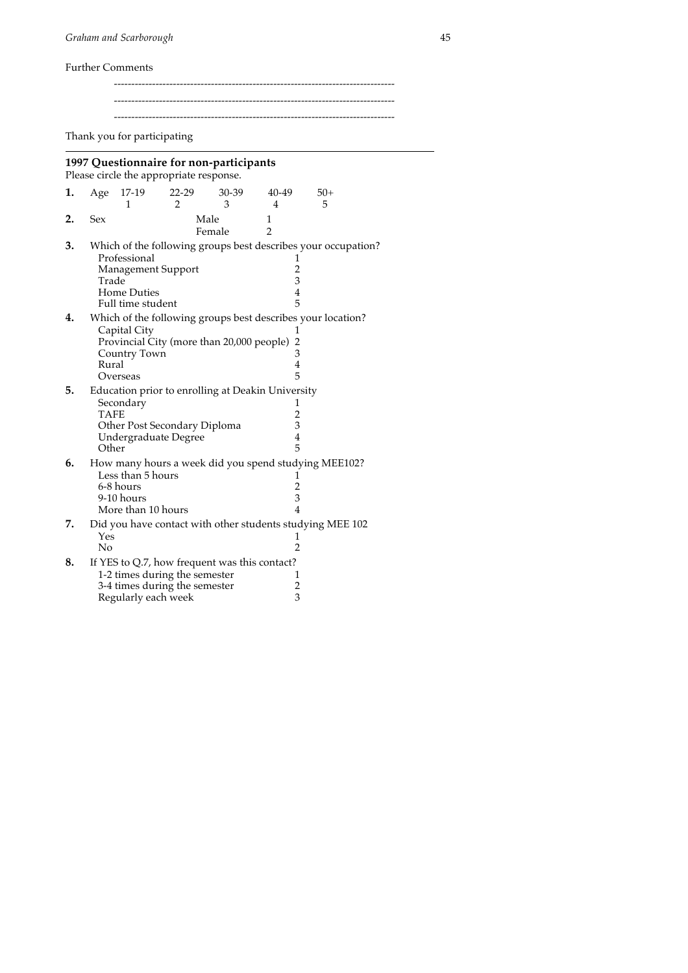Further Comments

--------------------------------------------------------------------------------- ---------------------------------------------------------------------------------

---------------------------------------------------------------------------------

Thank you for participating

### **1997 Questionnaire for non-participants**

Please circle the appropriate response.

| 1. | Age                  | 17-19                                                                                 | $22 - 29$ | 30-39                                             | 40-49                              | $50+$                                                         |
|----|----------------------|---------------------------------------------------------------------------------------|-----------|---------------------------------------------------|------------------------------------|---------------------------------------------------------------|
|    |                      | 1                                                                                     | 2         | 3                                                 | 4                                  | 5                                                             |
| 2. | Sex                  |                                                                                       |           | Male<br>Female                                    | 1<br>$\overline{2}$                |                                                               |
| 3. | Trade                | Professional<br>Management Support                                                    |           |                                                   | ı<br>$\overline{2}$<br>3           | Which of the following groups best describes your occupation? |
|    |                      | <b>Home Duties</b><br>Full time student                                               |           |                                                   | $\overline{4}$<br>5                |                                                               |
| 4. | Rural                | Capital City<br>Country Town<br>Overseas                                              |           | Provincial City (more than 20,000 people)         | 1<br>$\overline{2}$<br>3<br>4<br>5 | Which of the following groups best describes your location?   |
| 5. | <b>TAFE</b><br>Other | Secondary<br>Other Post Secondary Diploma<br>Undergraduate Degree                     |           | Education prior to enrolling at Deakin University | 1<br>2<br>3<br>4<br>5              |                                                               |
| 6. |                      | Less than 5 hours<br>6-8 hours<br>9-10 hours<br>More than 10 hours                    |           |                                                   | 1<br>$\overline{2}$<br>3<br>4      | How many hours a week did you spend studying MEE102?          |
| 7. | Yes<br>No            |                                                                                       |           |                                                   | 1<br>$\overline{2}$                | Did you have contact with other students studying MEE 102     |
| 8. |                      | 1-2 times during the semester<br>3-4 times during the semester<br>Regularly each week |           | If YES to Q.7, how frequent was this contact?     | 1<br>$\overline{c}$<br>3           |                                                               |